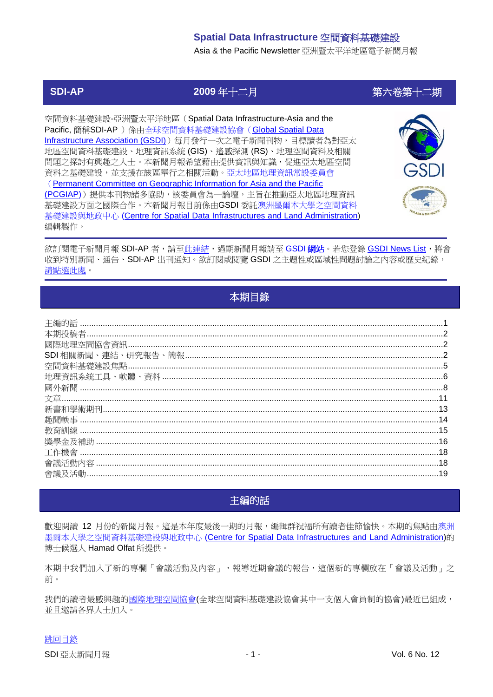Asia & the Pacific Newsletter 亞洲暨太平洋地區電子新聞月報

# **SDI-AP 2009** 年十二月 第六卷第十二期

空間資料基礎建設-亞洲暨太平洋地區(Spatial Data Infrastructure-Asia and the Pacific, 簡稱SDI-AP ) 係由全球空間資料基礎建設協會 (Global Spatial Data [Infrastructure Association \(GSDI\)](http://www.gsdi.org/))每月發行一次之電子新聞刊物,目標讀者為對亞太 地區空間資料基礎建設、地理資訊系統 (GIS)、遙感探測 (RS)、地理空間資料及相關 問題之探討有興趣之人士。本新聞月報希望藉由提供資訊與知識,促進亞太地區空間 資料之基礎建設,並支援在該區舉行之相關活動。亞太地區地理資訊常設委員會 ([Permanent Committee on Geographic Information for Asia and the Pacific](http://www.pcgiap.org/)  [\(PCGIAP\)](http://www.pcgiap.org/))提供本刊物諸多協助,該委員會為一論壇,主旨在推動亞太地區地理資訊 基礎建設方面之國際合作。本新聞月報目前係由GSDI 委託澳洲墨爾本大學之空間資料 基礎建設與地政中心 [\(Centre for Spatial Data Infrastructures and Land Administration\)](http://www.csdila.unimelb.edu.au/) 編輯製作。



欲訂閱電子新聞月報 SDI-AP 者,請[至此連結,](http://www.gsdi.org/newslist/gsdisubscribe.asp)過期新聞月報請至 [GSDI](http://www.gsdi.org/newsletters.asp) 網站。若您登錄 [GSDI News List](http://www.gsdi.org/newslist/gsdisubscribe.asp),將會 收到特別新聞、通告、SDI-AP 出刊通知。欲訂閱或閱覽 GSDI 之主題性或區域性問題討論之內容或歷史紀錄, [請點選此處。](http://www.gsdi.org/discussionlists.asp)

# 本期目錄

<span id="page-0-0"></span>

| <b>SDI</b> |     |
|------------|-----|
|            |     |
|            |     |
|            |     |
|            |     |
|            |     |
|            |     |
|            |     |
|            |     |
|            |     |
|            | .18 |
|            |     |
|            |     |

# 主編的話

<span id="page-0-1"></span>歡迎閱讀 12 月份的新聞月報。這是本年度最後一期的月報,編輯群祝福所有讀者佳節愉快。本期的焦點由澳洲 墨爾本大學之空間資料基礎建設與地政中心 [\(Centre for Spatial Data Infrastructures and Land Administration\)](http://www.csdila.unimelb.edu.au/)的 博士候選人 Hamad Olfat 所提供。

本期中我們加入了新的專欄「會議活動及內容」,報導近期會議的報告,這個新的專欄放在「會議及活動」之 前。

我們的讀者最感興趣[的國際地理空間協會](http://www.igeoss.org/)(全球空間資料基礎建設協會其中一支個人會員制的協會)最近已組成, 並且邀請各界人士加入。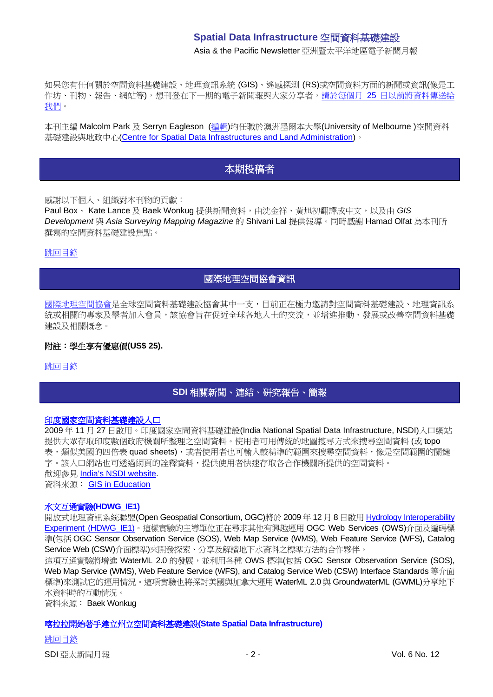Asia & the Pacific Newsletter 亞洲暨太平洋地區電子新聞月報

如果您有任何關於空間資料基礎建設、地理資訊系統 (GIS)、遙感探測 (RS)或空間資料方面的新聞或資訊(像是工 作坊、刊物、報告、網站等),想刊登在下一期的電子新聞報與大家分享者,請於每個月 25 [日以前將資料傳送給](mailto:sdi-ap@gsdi.org) [我們。](mailto:sdi-ap@gsdi.org)

<span id="page-1-0"></span>本刊主編 Malcolm Park 及 Serryn Eagleson ([編輯](mailto:Editor.SDIAP@gmail.com))均任職於澳洲墨爾本大學(University of Melbourne )空間資料 基礎建設與地政中心[\(Centre for Spatial Data Infrastructures and Land Administration\)](http://www.csdila.unimelb.edu.au/)。

# 本期投稿者

感謝以下個人、組織對本刊物的貢獻:

Paul Box、 Kate Lance 及 Baek Wonkug 提供新聞資料,由沈金祥、黃旭初翻譯成中文,以及由 GIS *Development* 與 *Asia Surveying Mapping Magazine* 的 Shivani Lal 提供報導。同時感謝 Hamad Olfat 為本刊所 撰寫的空間資料基礎建設焦點。

#### <span id="page-1-1"></span>[跳回目錄](#page-0-0)

# 國際地理空間協會資訊

[國際地理空間協會是](http://www.igeoss.org/)全球空間資料基礎建設協會其中一支,目前正在極力邀請對空間資料基礎建設、地理資訊系 統或相關的專家及學者加入會員,該協會旨在促近全球各地人士的交流,並增進推動、發展或改善空間資料基礎 建設及相關概念。

#### 附註:學生享有優惠價**(US\$ 25).**

<span id="page-1-2"></span>[跳回目錄](#page-0-0)

# **SDI** 相關新聞、連結、研究報告、簡報

#### [印度國家空間資料基礎建設入口](http://www.educationgis.com/2009/11/india-national-spatial-data.html)

2009 年 11 月 27 日啟用。印度國家空間資料基礎建設(India National Spatial Data Infrastructure, NSDI)入口網站 提供大眾存取印度數個政府機關所整理之空間資料。使用者可用傳統的地圖搜尋方式來搜尋空間資料 (或 topo 表,類似美國的四倍表 quad sheets), 或者使用者也可輸入較精準的範圍來搜尋空間資料,像是空間範圍的關鍵 字。該入口網站也可透過網頁的詮釋資料,提供使用者快速存取各合作機關所提供的空間資料。 歡迎參見 [India's NSDI website.](http://nsdiindia.gov.in/nsdi/nsdiportal/index.jsp)

資料來源: GIS [in Education](http://www.educationgis.com/)

#### 水文互通實驗**(HDWG\_IE1)**

開放式地理資訊系統聯盟(Open Geospatial Consortium, OGC)將於 2009 年 12 月 8 日啟用 [Hydrology Interoperability](http://external.opengis.org/twiki_public/bin/view/HydrologyDWG/GroundwaterInteroperabilityExperiment)  [Experiment \(HDWG\\_IE1\)](http://external.opengis.org/twiki_public/bin/view/HydrologyDWG/GroundwaterInteroperabilityExperiment)。這樣實驗的主導單位正在尋求其他有興趣運用 OGC Web Services (OWS)介面及編碼標 進(包括 OGC Sensor Observation Service (SOS), Web Map Service (WMS), Web Feature Service (WFS), Catalog Service Web (CSW)介面標準)來開發探索、分享及解讀地下水資料之標準方法的合作夥伴。

這項互通實驗將增進 WaterML 2.0 的發展, 並利用各種 OWS 標準(包括 OGC Sensor Observation Service (SOS), Web Map Service (WMS), Web Feature Service (WFS), and Catalog Service Web (CSW) Interface Standards 等介面 標準)來測試它的運用情況。這項實驗也將探討美國與加拿大運用 WaterML 2.0 與 GroundwaterML (GWML)分享地下 水資料時的互動情況。

資料來源: Baek Wonkug

#### 喀拉拉開始著手建立州立空間資料基礎建設**(State Spatial Data Infrastructure)**

[跳回目錄](#page-0-0) SDI 亞太新聞月報 - 2 - Vol. 6 No. 12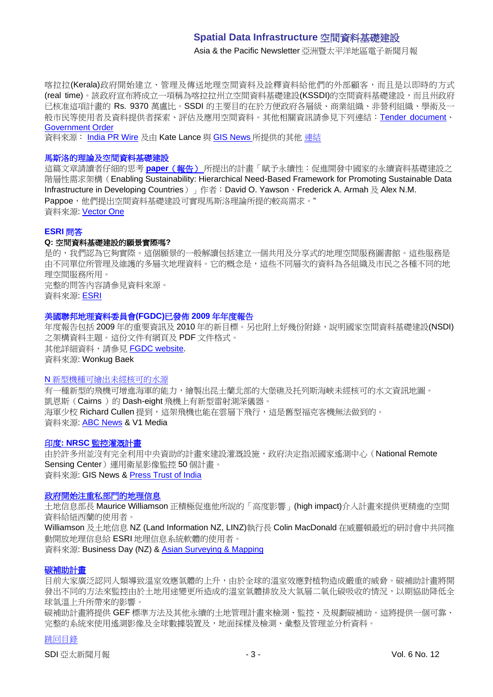Asia & the Pacific Newsletter 亞洲暨太平洋地區電子新聞月報

喀拉拉(Kerala)政府開始建立、管理及傳送地理空間資料及詮釋資料給他們的外部顧客,而且是以即時的方式 (real time)。該政府宣布將成立一項稱為喀拉拉州立空間資料基礎建設(KSSDI)的空間資料基礎建設,而且州政府 已核准這項計畫的 Rs. 9370 萬盧比。SSDI 的主要目的在於方便政府各層級、商業組織、非營利組織、學術及一 般市民等使用者及資料提供者探索、評估及應用空間資料。其他相關資訊請參見下列連結: [Tender document](http://www.itmission.kerala.gov.in/index.php?option=com_content&view=article&id=361:request-for-proposals-rfp-for-selection-of-tsp-for-setting-up-of-a-geoportal-and-clearinghouse-for-the-kerala-state-spatial-data-infrastructure-ksdi&catid=49:tender-notices)、 [Government Order](http://www.itmission.kerala.gov.in/index.php?option=com_docman&task=doc_download&gid=243&Itemid=140)

資料來源: [India PR Wire](http://www.indiaprwire.com/pressrelease/information-technology/2009110536981.htm) 及由 Kate Lance 與 [GIS News](http://www.gisdevelopment.net/news/viewn.asp?id=GIS:N_mciupnzjov&Ezine=nov0909§ion=News) 所提供的其他 [連結](http://www.ciol.com/News/News-Reports/Kerala-moves-ahead-in-setting-up-KSSDI/41109127317/0/)

#### 馬斯洛的理論及空間資料基礎建設

這篇文章請讀者仔細的思考 **paper**[\(報告\)](http://www.mdpi.com/2071-1050/1/4/946/pdf) 所提出的計畫「賦予永續性:促進開發中國家的永續資料基礎建設之 階層性需求架構(Enabling Sustainability: Hierarchical Need-Based Framework for Promoting Sustainable Data Infrastructure in Developing Countries) 一作者: David O. Yawson、Frederick A. Armah 及 Alex N.M. Pappoe,他們提出空間資料基礎建設可實現馬斯洛理論所提的較高需求。" 資料來源: [Vector One](http://www.vector1media.com/vectorone/?p=4064)

#### **ESRI** 問答

#### **Q:** 空間資料基礎建設的願景實際嗎**?**

是的,我們認為它夠實際。這個願景的一般解讀包括建立一個共用及分享式的地理空間服務圖書館。這些服務是 由不同單位所管理及維護的多層次地理資料。它的概念是,這些不同層次的資料為各組織及市民之各種不同的地 理空間服務所用。 完整的問答內容請參見資料來源。

資料來源: [ESRI](http://events.esri.com/uc/QandA/index.cfm?fuseaction=answer&conferenceId=069FD41D-1422-2418-884CB3BF346EE29E&questionId=2703)

#### 美國聯邦地理資料委員會**(FGDC)**已發佈 **2009** 年年度報告

年度報告包括 2009 年的重要資訊及 2010 年的新目標。另也附上好幾份附錄,說明國家空間資料基礎建設(NSDI) 之架構資料主題。這份文件有網頁及 PDF 文件格式。 其他詳細資料,請參見 [FGDC website.](http://www.fgdc.gov/fgdc-news/2009-fgdc-annual-report) 資料來源: Wonkug Baek

#### N [新型機種可繪出未經核可的水源](http://vector1media.com/news/headlines/9974-new-plane-allows-mapping-of-uncharted-waters)

有一種新型的飛機可增進海軍的能力,繪製出昆士蘭北部的大堡礁及托列斯海峽未經核可的水文資訊地圖。 凱恩斯(Cairns)的 Dash-eight 飛機上有新型雷射測深儀器。 海軍少校 Richard Cullen 提到,這架飛機也能在雲層下飛行,這是舊型福克客機無法做到的。 資料來源: [ABC News](http://www.abc.net.au/news/stories/2009/11/11/2739232.htm) & V1 Media

#### 印度**: NRSC** [監控灌溉計畫](http://www.gisdevelopment.net/news/viewn.asp?id=GIS:N_uveaqgbcht&Ezine=nov1609§ion=News)

由於許多州並沒有完全利用中央資助的計畫來建設灌溉設施,政府決定指派國家遙測中心(National Remote Sensing Center)運用衛星影像監控 50 個計畫。 資料來源: GIS News & [Press Trust of India](http://www.ptinews.com/news/354355_-Eye-in-the-sky--to-monitor-irrigation-projects)

#### [政府開始注重私部門的地理信息](http://www.stuff.co.nz/business/industries/3051500/Government-eyes-private-geo-data)

土地信息部長 Maurice Williamson 正積極促進他所說的「高度影響」(high impact)介入計畫來提供更精進的空間 資料給紐西蘭的使用者。

Williamson 及土地信息 NZ (Land Information NZ, LINZ)執行長 Colin MacDonald 在威靈頓最近的研討會中共同推 動開放地理信息給 ESRI 地理信息系統軟體的使用者。

資料來源: Business Day (NZ) & [Asian Surveying & Mapping](http://asmmag.com/news/nz-land-information)

#### [碳補助計畫](http://www.inloughborough.com/news/097329/The%20Carbon%20Benefits%20Project)

目前大家廣泛認同人類導致溫室效應氣體的上升,由於全球的溫室效應對植物造成嚴重的威脅。碳補助計畫將開 發出不同的方法來監控由於土地用途變更所造成的溫室氣體排放及大氣層二氧化碳吸收的情況,以期協助降低全 球氣溫上升所帶來的影響。

碳補助計畫將提供 GEF 標準方法及其他永續的土地管理計畫來檢測、監控、及規劃碳補助。這將提供一個可靠、 完整的系統來使用遙測影像及全球數據裝置及,地面採樣及檢測、彙整及管理並分析資料。

#### [跳回目錄](#page-0-0)

SDI 亞太新聞月報 - 3 - 2009年 - 3 - 2009年 - 3 - 2009年 - 3 - 2009年 - 3 - 2009年 - 2010年 - 2010年 - 2010年 - 201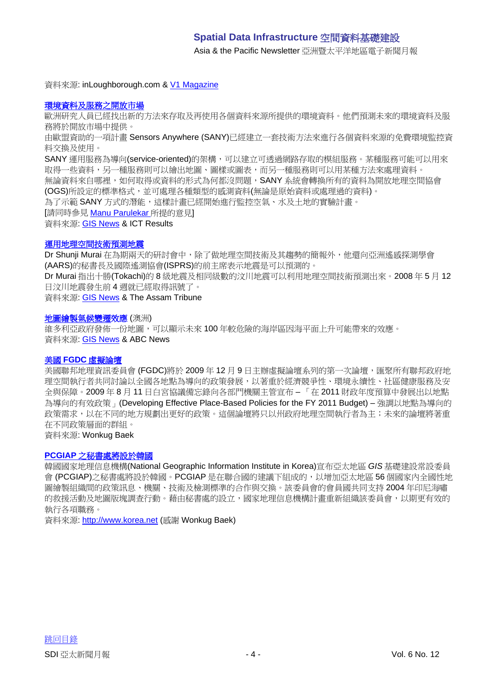Asia & the Pacific Newsletter 亞洲暨太平洋地區電子新聞月報

資料來源: inLoughborough.com & [V1 Magazine](http://vector1media.com/news/top-stories/53-corporate-news/10123-the-carbon-benefits-project)

#### [環境資料及服務之開放市場](http://cordis.europa.eu/ictresults/index.cfm?section=news&tpl=article&id=91046)

歐洲研究人員已經找出新的方法來存取及再使用各個資料來源所提供的環境資料。他們預測未來的環境資料及服 務將於開放市場中提供。

由歐盟資助的一項計畫 Sensors Anywhere (SANY)已經建立一套技術方法來進行各個資料來源的免費環境監控資 料交換及使用。

SANY 運用服務為導向(service-oriented)的架構,可以建立可透過網路存取的模組服務。某種服務可能可以用來 取得一些資料,另一種服務則可以繪出地圖、圖樣或圖表,而另一種服務則可以用某種方法來處理資料。

無論資料來自哪裡,如何取得或資料的形式為何都沒問題,SANY 系統會轉換所有的資料為開放地理空間協會 (OGS)所設定的標準格式,並可處理各種類型的感測資料(無論是原始資料或處理過的資料)。

為了示範 SANY 方式的潛能,這樣計畫已經開始進行監控空氣、水及土地的實驗計畫。

[請同時參見 [Manu Parulekar](http://www.gisdevelopment.net/news/viewn.asp?id=GIS:N_movjtybpld&Ezine=nov2309§ion=News) 所提的意見]

資料來源: [GIS News](http://www.gisdevelopment.net/news/viewn.asp?id=GIS:N_gnvaqestlw&Ezine=nov2309§ion=News) & ICT Results

#### [運用地理空間技術預測地震](http://www.assamtribune.com/scripts/details.asp?id=nov1709/at08)

Dr Shunji Murai 在為期兩天的研討會中,除了做地理空間技術及其趨勢的簡報外,他還向亞洲遙感探測學會 (AARS)的秘書長及國際遙測協會(ISPRS)的前主席表示地震是可以預測的。

Dr Murai 指出十勝(Tokachi)的 8 級地震及相同級數的汶川地震可以利用地理空間技術預測出來。2008 年 5 月 12 日汶川地震發生前 4 週就已經取得訊號了。

資料來源: [GIS News](http://www.gisdevelopment.net/news/viewn.asp?id=GIS:N_movjtybpld&Ezine=nov2309§ion=News) & The Assam Tribune

#### [地圖繪製氣候變遷效](http://www.abc.net.au/news/stories/2009/11/16/2743872.htm)應 (澳洲)

維多利亞政府發佈一份地圖,可以顯示未來 100 年較危險的海岸區因海平面上升可能帶來的效應。 資料來源: [GIS News](http://www.gisdevelopment.net/news/viewn.asp?id=GIS:N_hamjpdqzev&Ezine=nov2309§ion=News) & ABC News

#### 美國 **FGDC** [虛擬論壇](http://www.fgdc.gov/site-events/fgdc-virtual-forum-dec-09/view)

美國聯邦地理資訊委員會(FGDC)將於 2009年12月9日主辦虛擬論壇系列的第一次論壇,匯聚所有聯邦政府地 理空間執行者共同討論以全國各地點為導向的政策發展,以著重於經濟競爭性、環境永續性、社區健康服務及安 全與保障。2009 年 8 月 11 日白宮協議備忘錄向各部門機關主管宣布 – 「在 2011 財政年度預算中發展出以地點 為導向的有效政策」(Developing Effective Place-Based Policies for the FY 2011 Budget) – 強調以地點為導向的 政策需求,以在不同的地方規劃出更好的政策。這個論壇將只以州政府地理空間執行者為主;未來的論壇將著重 在不同政策層面的群組。

資料來源: Wonkug Baek

#### **PCGIAP** [之秘書處將設於韓國](http://www.korea.net/News/News/newsView.asp?serial_no=20091113009&part=101&SearchDay=2009.11.13)

韓國國家地理信息機構(National Geographic Information Institute in Korea)宣布亞太地區 *GIS* 基礎建設常設委員 會 (PCGIAP)之秘書處將設於韓國。PCGIAP 是在聯合國的建議下組成的,以增加亞太地區 56 個國家內全國性地 圖繪製組織間的政策訊息、機關、技術及檢測標準的合作與交換。該委員會的會員國共同支持 2004 年印尼海嘯 的救援活動及地圖版塊調查行動。藉由秘書處的設立,國家地理信息機構計畫重新組織該委員會,以期更有效的 執行各項職務。

資料來源: [http://www.korea.net](http://www.korea.net/) (感謝 Wonkug Baek)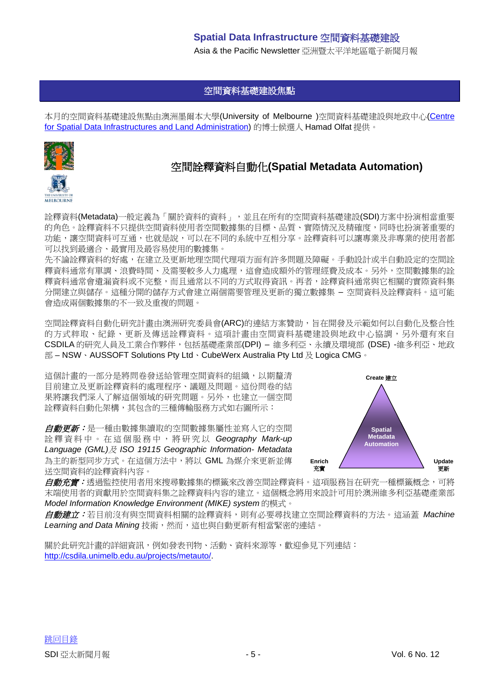Asia & the Pacific Newsletter 亞洲暨太平洋地區電子新聞月報

# 空間資料基礎建設焦點

<span id="page-4-0"></span>本月的空間資料基礎建設焦點由澳洲墨爾本大學(University of Melbourne )空間資料基礎建設與地政中心[\(Centre](http://www.csdila.unimelb.edu.au/)  [for Spatial Data Infrastructures and Land Administration\)](http://www.csdila.unimelb.edu.au/) 的博士候選人 Hamad Olfat 提供。



# 空間詮釋資料自動化**(Spatial Metadata Automation)**

詮釋資料(Metadata)一般定義為「關於資料的資料」,並且在所有的空間資料基礎建設(SDI)方案中扮演相當重要 的角色。詮釋資料不只提供空間資料使用者空間數據集的目標、品質、實際情況及精確度,同時也扮演著重要的 功能,讓空間資料可互通,也就是說,可以在不同的系統中互相分享。詮釋資料可以讓專業及非專業的使用者都 可以找到最適合、最實用及最容易使用的數據集。

先不論詮釋資料的好處,在建立及更新地理空間代理項方面有許多問題及障礙。手動設計或半自動設定的空間詮 釋資料通常有單調、浪費時間、及需要較多人力處理,這會造成額外的管理經費及成本。另外,空間數據集的詮 釋資料通常會遺漏資料或不完整,而且通常以不同的方式取得資訊。再者,詮釋資料通常與它相關的實際資料集 分開建立與儲存。這種分開的儲存方式會建立兩個需要管理及更新的獨立數據集 – 空間資料及詮釋資料。這可能 會造成兩個數據集的不一致及重複的問題。

空間詮釋資料自動化研究計畫由澳洲研究委員會(ARC)的連結方案贊助,旨在開發及示範如何以自動化及整合性 的方式粹取、紀錄、更新及傳送詮釋資料。這項計畫由空間資料基礎建設與地政中心協調,另外還有來自 CSDILA 的研究人員及工業合作夥伴,包括基礎產業部(DPI) – 維多利亞、永續及環境部 (DSE) -維多利亞、地政 部 – NSW、AUSSOFT Solutions Pty Ltd、CubeWerx Australia Pty Ltd 及 Logica CMG。

這個計畫的一部分是將問卷發送給管理空間資料的組織,以期釐清 目前建立及更新詮釋資料的處理程序、議題及問題。這份問卷的結 果將讓我們深入了解這個領域的研究問題。另外,也建立一個空間 詮釋資料自動化架構,其包含的三種傳輸服務方式如右圖所示:

自動更新:是一種由數據集讀取的空間數據集屬性並寫入它的空間 詮釋資料 中。在這個 服 務 中 , 將研究以 *Geography Mark-up Language (GML)*及 *ISO 19115 Geographic Information- Metadata* 為主的新型同步方式。在這個方法中,將以 GML 為媒介來更新並傳 送空間資料的詮釋資料內容。



*自動充實:*透過監控使用者用來搜尋數據集的標籤來改善空間詮釋資料。這項服務旨在研究一種標籤概念,可將 末端使用者的貢獻用於空間資料集之詮釋資料內容的建立。這個概念將用來設計可用於澳洲維多利亞基礎產業部 *Model Information Knowledge Environment (MIKE) system* 的模式。

自動建立:若目前沒有與空間資料相關的詮釋資料,則有必要尋找建立空間詮釋資料的方法。這涵蓋 *Machine*  Learning and Data Mining 技術,然而,這也與自動更新有相當緊密的連結。

關於此研究計畫的詳細資訊,例如發表刊物、活動、資料來源等,歡迎參[見下列連結:](http://csdila.unimelb.edu.au/projects/metauto/index.html) [http://csdila.unimelb.edu.au/projects/metauto/.](http://csdila.unimelb.edu.au/projects/metauto/index.html)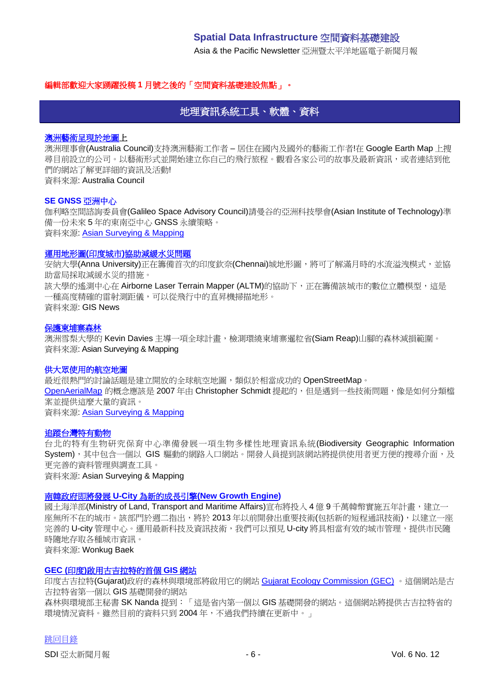Asia & the Pacific Newsletter 亞洲暨太平洋地區電子新聞月報

#### <span id="page-5-0"></span>編輯部歡迎大家踴躍投稿 **1** 月號之後的「空間資料基礎建設焦點」。

# 地理資訊系統工具、軟體、資料

#### [澳洲藝術呈現於地圖上](http://australiacouncil.placestories.com/)

澳洲理事會(Australia Council)支持澳洲藝術工作者 – 居住在國內及國外的藝術工作者!在 Google Earth Map 上搜 尋目前設立的公司。以藝術形式並開始建立你自己的飛行旅程。觀看各家公司的故事及最新資訊,或者連結到他 們的網站了解更詳細的資訊及活動! 資料來源: Australia Council

#### **SE GNSS** 亞洲中心

伽利略空間諮詢委員會(Galileo Space Advisory Council)請曼谷的亞洲科技學會(Asian Institute of Technology)準 備一份未來 5 年的東南亞中心 GNSS 永續策略。 資料來源: [Asian Surveying & Mapping](http://asmmag.com/news/se-asian-centre-on-gnss)

#### 運用地形圖**(**印度城市**)**[協助減緩水災問題](http://www.gisdevelopment.net/news/viewn.asp?id=GIS:N_npxagswdir&Ezine=nov0209§ion=News)

安納大學(Anna University)正在籌備首次的印度欽奈(Chennai)城地形圖,將可了解滿月時的水流溢洩模式,並協 助當局採取減緩水災的措施。 該大學的遙測中心在 Airborne Laser Terrain Mapper (ALTM)的協助下, 正在籌備該城市的數位立體模型, 這是 一種高度精確的雷射測距儀,可以從飛行中的直昇機掃描地形。 資料來源: GIS News

#### [保護柬埔寨森林](http://asmmag.com/features/protecting-cambodian-forests-)

澳洲雪梨大學的 Kevin Davies 主導一項全球計畫,檢測環繞柬埔寨暹粒省(Siam Reap)山腳的森林減損範圍。 資料來源: Asian Surveying & Mapping

#### 供大眾使用的航空地圖

最近很熱門的討論話題是建立開放的全球航空地圖,類似於相當成功的 OpenStreetMap。 [OpenAerialMap](http://www.openaerialmap.org/Main_Page) 的概念應該是 2007年由 Christopher Schmidt 提起的,但是遇到一些技術問題,像是如何分類檔 案並提供這麼大量的資訊。 資料來源: [Asian Surveying & Mapping](http://asmmag.com/news/aerial-maps-for-everyone)

#### [追蹤台灣特有動物](http://asmmag.com/features/Supoergeo%20develops%20biodiverity%20GIS)

台北的特有生物研究保育中心準備發展一項生物多樣性地理資訊系統(Biodiversity Geographic Information System), 其中包含一個以 GIS 驅動的網路入口網站。開發人員提到該網站將提供使用者更方便的搜尋介面, 及 更完善的資料管理與調查工具。 資料來源: Asian Surveying & Mapping

#### 南韓政府即將發展 **U-City** 為新的成長引擎**[\(New Growth Engine\)](http://world.kbs.co.kr/english/news/news_Ec_detail.htm?No=67830)**

國土海洋部(Ministry of Land, Transport and Maritime Affairs)宣布將投入4億9千萬韓幣實施五年計畫,建立一 座無所不在的城市。該部門於週二指出,將於 2013 年以前開發出重要技術(包括新的短程通訊技術),以建立一座 完善的 U-city 管理中心。運用最新科技及資訊技術,我們可以預見 U-city 將具相當有效的城市管理,提供市民隨 時隨地存取各種城市資訊。

資料來源: Wonkug Baek

#### **GEC (**印度**)**[啟用古吉拉特的首個](http://www.business-standard.com/india/news/gec-launches-gujarat%5Cs-first-gis-based-website/374578/) **GIS** 網站

印度古吉拉特(Gujarat)政府的森林與環境部將啟用它的網站 [Gujarat Ecology Commission \(GEC\)](http://www.gec.gov.in/) 。這個網站是古 吉拉特省第一個以 GIS 基礎開發的網站

森林與環境部主秘書 SK Nanda 提到:「這是省內第一個以 GIS 基礎開發的網站。這個網站將提供古吉拉特省的 環境情況資料。雖然目前的資料只到 2004年,不過我們持續在更新中。」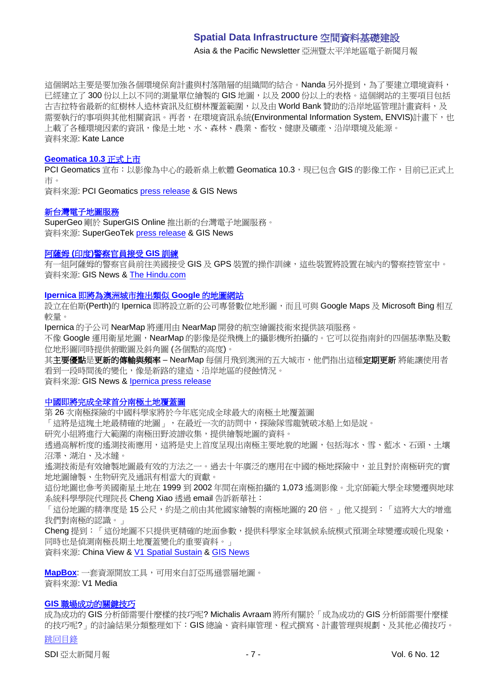Asia & the Pacific Newsletter 亞洲暨太平洋地區電子新聞月報

這個網站主要是要加強各個環境保育計畫與村落階層的組織間的結合。Nanda 另外提到,為了要建立環境資料, 已經建立了 300 份以上以不同的測量單位繪製的 GIS 地圖, 以及 2000 份以上的表格。這個網站的主要項目包括 古吉拉特省最新的紅樹林人造林資訊及紅樹林覆蓋範圍,以及由 World Bank 贊助的沿岸地區管理計畫資料,及 需要執行的事項與其他相關資訊。再者,在環境資訊系統(Environmental Information System, ENVIS)計畫下,也 上載了各種環境因素的資訊,像是土地、水、森林、農業、畜牧、健康及礦產、沿岸環境及能源。 資料來源: Kate Lance

#### **[Geomatica 10.3](http://www.gisdevelopment.net/news/viewn.asp?id=GIS:N_dnxlmfuiog&Ezine=nov0909§ion=News)** 正式上市

PCI Geomatics 宣布: 以影像為中心的最新桌上軟體 Geomatica 10.3, 現已包含 GIS 的影像工作, 目前已正式上 市。

資料來源: PCI Geomatics [press release](http://www.pcigeomatics.com/pressnews/2009_PCI_geomatica103.html) & GIS News

#### [新台灣電子地圖服務](http://www.gisdevelopment.net/news/viewn.asp?id=GIS:N_lckgbpiens&Ezine=nov0909§ion=News)

SuperGeo 剛於 SuperGIS Online 推出新的台灣電子地圖服務。 資料來源: SuperGeoTek [press release](http://www.supergeotek.com/news.aspx?Type=Company&ID=558) & GIS News

#### 阿薩姆 **(**印度**)**[警察官員接受](http://www.gisdevelopment.net/news/viewn.asp?id=GIS:N_wxogczsaki&Ezine=nov0909§ion=News) **GIS** 訓練

有一組阿薩姆的警察官員前往美國接受 GIS 及 GPS 裝置的操作訓練,這些裝置將設置在城內的警察控管室中。 資料來源: GIS News & [The Hindu.com](http://beta.thehindu.com/news/national/article41535.ece)

#### **Ipernica** [即將為澳洲城市推出類似](http://www.gisdevelopment.net/news/viewn.asp?id=GIS:N_tfblcgayuz&Ezine=nov0909§ion=News) **Google** 的地圖網站

設立在伯斯(Perth)的 Ipernica 即將設立新的公司專營數位地形圖,而且可與 Google Maps 及 Microsoft Bing 相互 較量。

Ipernica 的子公司 NearMap 將運用由 NearMap 開發的航空繪圖技術來提供該項服務。

不像 Google 運用衛星地圖, NearMap 的影像是從飛機上的攝影機所拍攝的。它可以從指南針的四個基準點及數 位地形圖同時提供俯瞰圖及斜角圖 (各個點的高度)。

其主要優點是更新的傳輸與頻率 – NearMap 每個月飛到澳洲的五大城市, 他們指出這種定期更新 將能讓使用者 看到一段時間後的變化,像是新路的建造、沿岸地區的侵蝕情況。

資料來源: GIS News & [Ipernica press release](http://www.ipernica.com/IRM/Company/ShowPage.aspx?CPID=1152&EID=13335037&PageName=Aussie%20mapping%20technology%20set%20to%20take%20on%20Google)

#### [中國即將完成全球首分南極土地覆蓋圖](http://news.xinhuanet.com/english/2009-10/26/content_12332541.htm)

第 26 次南極探險的中國科學家將於今年底完成全球最大的南極土地覆蓋圖

「這將是這塊土地最精確的地圖」,在最近一次的訪問中,探險隊雪龍號破冰船上如是說。

研究小組將進行大範圍的南極田野波譜收集,提供繪製地圖的資料。

透過高解析度的遙測技術應用,這將是史上首度呈現出南極主要地貌的地圖,包括海冰、雪、藍冰、石頭、土壤 沼澤、湖泊、及冰縫。

遙測技術是有效繪製地圖最有效的方法之一。過去十年廣泛的應用在中國的極地探險中,並且對於南極研究的實 地地圖繪製、生物研究及通訊有相當大的貢獻。

這份地圖也參考美國衛星土地在 1999 到 2002 年間在南極拍攝的 1,073 遙測影像。北京師範大學全球變遷與地球 系統科學學院代理院長 Cheng Xiao 透過 email 告訴新華社:

「這份地圖的精準度是 15 公尺,約是之前由其他國家繪製的南極地圖的 20 倍。」他又提到:「這將大大的增進 我們對南極的認識。」

Cheng 提到:「這份地圖不只提供更精確的地面參數,提供科學家全球氣候系統模式預測全球變遷或暖化現象, 同時也是偵測南極長期土地覆蓋變化的重要資料。」

資料來源: China View & [V1 Spatial Sustain](http://vector1media.com/spatialsustain/china-maps-antarctica-at-unprecendented-resolution.html) & [GIS News](http://www.gisdevelopment.net/news/viewn.asp?id=GIS:N_ylcwfpdrhk&Ezine=nov0209§ion=News)

**[MapBox](http://mapbox.com/)**: 一套資源開放工具,可用來自訂亞馬遜雲層地圖。 資料來源: V1 Media

# **GIS** [職場成功的關鍵技巧](http://michalisavraam.org/2009/11/the-essential-skills-to-succeed-in-a-gis-career/)

[跳回目錄](#page-0-0) 成為成功的 GIS 分析師需要什麼樣的技巧呢? Michalis Avraam 將所有關於「成為成功的 GIS 分析師需要什麼樣 的技巧呢?」的討論結果分類整理如下:GIS 總論、資料庫管理、程式撰寫、計畫管理與規劃、及其他必備技巧。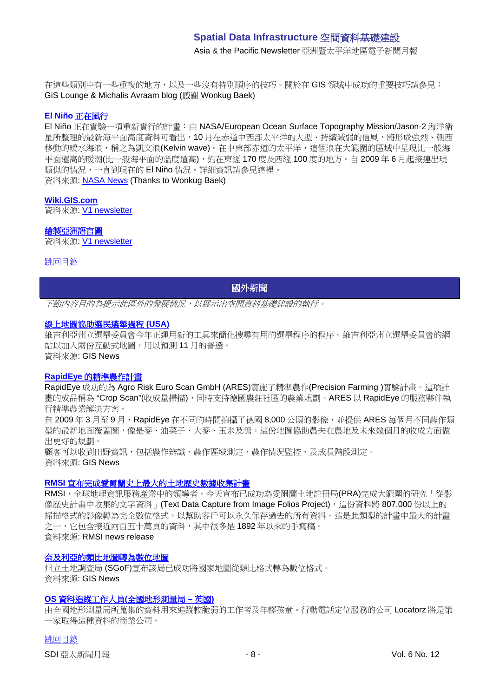Asia & the Pacific Newsletter 亞洲暨太平洋地區電子新聞月報

在這些類別中有一些重複的地方,以及一些沒有特別順序的技巧。關於在 GIS 領域中成功的重要技巧請參見: GiS Lounge & Michalis Avraam blog (感謝 Wonkug Baek)

#### **El Niño** 正在風行

El Niño 正在實驗一項重新實行的計畫:由 NASA/European Ocean Surface Topography Mission/Jason-2 海洋衛 星所整理的最新海平面高度資料可看出,10月在赤道中西部太平洋的大型、持續減弱的信風,將形成強烈、朝西 移動的暖水海浪,稱之為凱文浪(Kelvin wave)。在中東部赤道的太平洋,這個浪在大範圍的區域中呈現比一般海 平面還高的暖潮(比一般海平面的溫度還高),約在東經 170 度及西經 100 度的地方。自 2009 年 6 月起接連出現 類似的情況,一直到現在的 El Niño 情況。詳細資訊請參見這裡。 資料來源: [NASA News](http://www.nasa.gov/topics/earth/features/elnino20091112.html) (Thanks to Wonkug Baek)

#### **[Wiki.GIS.com](http://wiki.gis.com/wiki/index.php/Main_Page)**

資料來源: [V1 newsletter](http://www.vector1media.com/resources/newsletter/9917-v1-newsletter-vol-3-issue-44)

#### [繪製亞洲語言圖](http://www.ecai.org/austronesiaweb/ECAIaustronesia/AustronesiaMaps.htm)

資料來源: [V1 newsletter](http://www.vector1media.com/resources/newsletter/9917-v1-newsletter-vol-3-issue-44)

<span id="page-7-0"></span>[跳回目錄](#page-0-0)

# 國外新聞

下節內容目的為提示此區外的發展情況,以展示出空間資料基礎建設的執行。

#### [線上地圖協助選民選舉過程](http://www.gisdevelopment.net/news/viewn.asp?id=GIS:N_mlzptfixho) **(USA)**

維吉利亞州立選舉委員會今年正運用新的工具來簡化搜尋有用的選舉程序的程序。維吉利亞州立選舉委員會的網 站以加入兩份互動式地圖,用以預測 11 月的普選。 資料來源: GIS News

#### **RapidEye** [的精準農作計畫](http://www.gisdevelopment.net/news/viewn.asp?id=GIS:N_nhpjudolyz&Ezine=nov0209§ion=News)

RapidEye 成功的為 Agro Risk Euro Scan GmbH (ARES)實施了精準農作(Precision Farming )實驗計畫。這項計 書的成品稱為"Crop Scan"(收成量掃描),同時支持德國農莊社區的農業規劃。ARES 以 RapidEye 的服務夥伴執 行精準農業解決方案。

自 2009年3月至9月,RapidEye 在不同的時間拍攝了德國 8,000 公頃的影像,並提供 ARES 每個月不同農作類 型的最新地面覆蓋圖,像是麥、油菜子、大麥、玉米及糖。這份地圖協助農夫在農地及未來幾個月的收成方面做 出更好的規劃。

顧客可以收到田野資訊,包括農作辨識、農作區域測定、農作情況監控、及成長階段測定。 資料來源: GIS News

#### **RMSI** [宣布完成愛爾蘭史上最大的土地歷史數據收集計畫](http://www.rmsi.com/press/ireland_prai.asp)

RMSI,全球地理資訊服務產業中的領導者,今天宣布已成功為愛爾蘭土地註冊局(PRA)完成大範圍的研究「從影 像歷史計畫中收集的文字資料」(Text Data Capture from Image Folios Project),這份資料將 807,000份以上的 掃描格式的影像轉為完全數位格式,以幫助客戶可以永久保存過去的所有資料。這是此類型的計畫中最大的計畫 之一,它包含接近兩百五十萬頁的資料,其中很多是1892年以來的手寫稿。 資料來源: RMSI news release

#### [奈及利亞的類比地圖轉為數位地圖](http://www.gisdevelopment.net/news/viewn.asp?id=GIS:N_zjfhrpkody&Ezine=nov0209§ion=News)

州立土地調查局 (SGoF)宣布該局已成功將國家地圖從類比格式轉為數位格式。 資料來源: GIS News

#### **OS** [資料追蹤工作人員](http://www.gisdevelopment.net/news/viewn.asp?id=GIS:N_jqcibglpre&Ezine=nov0909§ion=News)**(**全國地形測量局 **–** 英國**)**

由全國地形測量局所蒐集的資料用來追蹤較脆弱的工作者及年輕孩童。行動電話定位服務的公司 Locatorz 將是第 一家取得這種資料的商業公司。

[跳回目錄](#page-0-0)

SDI 亞太新聞月報 - 8 - Vol. 6 No. 12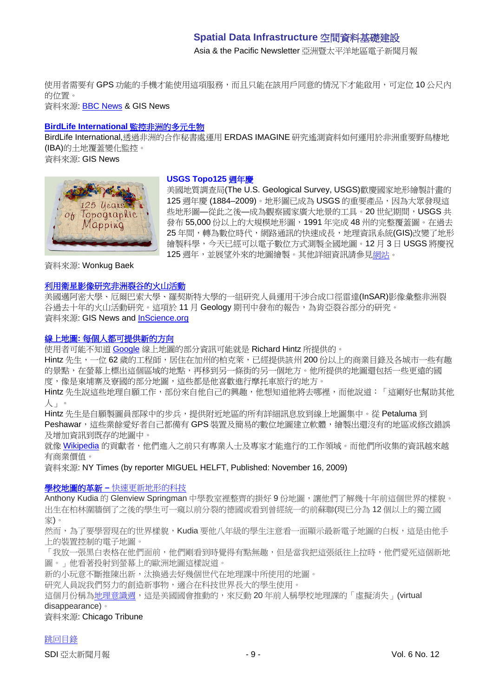Asia & the Pacific Newsletter 亞洲暨太平洋地區電子新聞月報

使用者需要有 GPS 功能的手機才能使用這項服務,而且只能在該用戶同意的情況下才能啟用,可定位 10 公尺内 的位置。

資料來源: [BBC News](http://news.bbc.co.uk/2/hi/technology/8338946.stm) & GIS News

## **[BirdLife International](http://www.gisdevelopment.net/news/viewn.asp?id=GIS:N_gtheocprab&Ezine=nov0909§ion=News)** 監控非洲的多元生物

BirdLife International,透過非洲的合作秘書處運用 ERDAS IMAGINE 研究遙測資料如何運用於非洲重要野鳥棲地 (IBA)的土地覆蓋變化監控。

資料來源: GIS News



#### **USGS Topo125** 週年慶

美國地質調查局(The U.S. Geological Survey, USGS)歡慶國家地形繪製計畫的 125 週年慶 (1884-2009)。地形圖已成為 USGS 的重要產品,因為大眾發現這 些地形圖—從此之後—成為觀察國家廣大地景的工具。20 世紀期間,USGS 共 發布 55,000 份以上的大規模地形圖,1991 年完成 48 州的完整覆蓋圖。在過去 25年間,轉為數位時代,網路通訊的快速成長,地理資訊系統(GIS)改變了地形 繪製科學,今天已經可以電子數位方式測製全國地圖。12 月 3 日 USGS 將慶祝 125 週年,並展望外來的地圖繪製。其他詳細資訊請參[見網站。](http://nationalmap.gov/125years/)

資料來源: Wonkug Baek

## [利用衛星影像研究非洲裂谷的火山活動](http://www.gisdevelopment.net/news/viewn.asp?id=GIS:N_vyzeaiosdt&Ezine=nov1609§ion=News)

美國邁阿密大學、厄爾巴索大學、羅契斯特大學的一組研究人員運用干涉合成口徑雷達(InSAR)影像彙整非洲裂 谷過去十年的火山活動研究。這項於 11 月 Geology 期刊中發布的報告,為肯亞裂谷部分的研究。 資料來源: GIS News and [InScience.org](http://insciences.org/article.php?article_id=7457)

#### 線上地圖**:** [每個人都可提供新的方向](http://www.nytimes.com/2009/11/17/technology/internet/17maps.html?_r=1)

使用者可能不知道 [Google](http://topics.nytimes.com/top/news/business/companies/google_inc/index.html?inline=nyt-org) 線上地圖的部分資訊可能就是 Richard Hintz 所提供的。

Hintz 先生, 一位 62 歳的工程師, 居住在加州的柏克萊, 已經提供該州 200 份以上的商業日錄及各城市一些有趣 的景點,在螢幕上標出這個區域的地點,再移到另一條街的另一個地方。他所提供的地圖還包括一些更遠的國 度,像是柬埔寨及寮國的部分地圖,這些都是他喜歡進行摩托車旅行的地方。

Hintz 先生說這些地理自願工作,部份來自他自己的興趣,他想知道他將去哪裡,而他說道:「這剛好也幫助其他 人」。

Hintz 先生是自願製圖員部隊中的步兵,提供附近地區的所有詳細訊息放到線上地圖集中。從 Petaluma 到 Peshawar,這些業餘愛好者自己都備有 GPS 裝置及簡易的數位地圖建立軟體,繪製出還沒有的地區或修改錯誤 及增加資訊到既存的地圖中。

就像 [Wikipedia](http://www.nytimes.com/info/wikipedia/?inline=nyt-org) 的貢獻者,他們進入之前只有專業人士及專家才能進行的工作領域。而他們所收集的資訊越來越 有商業價值。

資料來源: NY Times (by reporter [MIGUEL HELFT,](http://topics.nytimes.com/top/reference/timestopics/people/h/miguel_helft/index.html?inline=nyt-per) Published: November 16, 2009)

#### 學校地圖的革新 **–** [快速更新地形的科技](http://www.chicagotribune.com/news/education/chi-no-school-maps-22-bdnov22,0,7112607.story)

Anthony Kudia 的 Glenview Springman 中學教室裡整齊的掛好 9 份地圖,讓他們了解幾十年前這個世界的樣貌。 出生在柏林圍牆倒了之後的學生可一窺以前分裂的德國或看到曾經統一的前蘇聯(現已分為 12 個以上的獨立國 家)。

然而,為了要學習現在的世界樣貌,Kudia 要他八年級的學生注意看一面顯示最新電子地圖的白板,這是由他手 上的裝置控制的電子地圖。

「我放一張黑白表格在他們面前,他們剛看到時覺得有點無趣,但是當我把這張紙往上拉時,他們愛死這個新地 圖。」他看著投射到螢幕上的歐洲地圖這樣說道。

新的小玩意不斷推陳出新,汰換過去好幾個世代在地理課中所使用的地圖。

研究人員說我們努力的創造新事物,適合在科技世界長大的學生使用。

這個月份稱[為地理意識週,](http://www.mywonderfulworld.org/gaw.html)這是美國國會推動的,來反動20年前人稱學校地理課的「虛擬消失」(virtual disappearance)。

資料來源: Chicago Tribune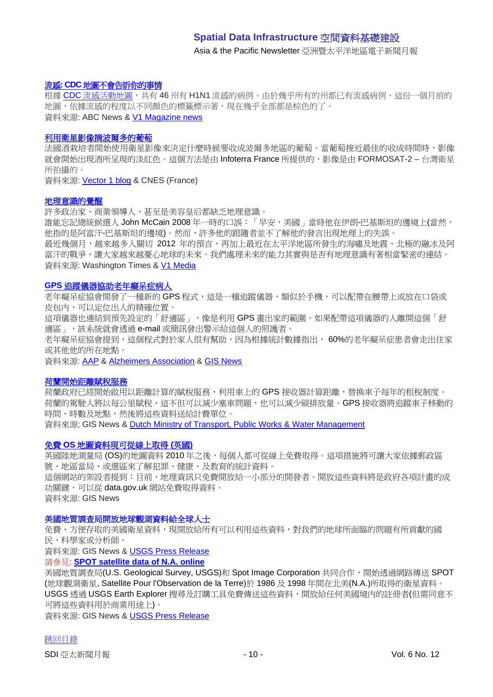Asia & the Pacific Newsletter 亞洲暨太平洋地區電子新聞月報

#### 流感**: CDC** [地圖不會告訴你的事情](http://abcnews.go.com/Health/SwineFlu/swine-flu-cdc-map/story?id=8949730)

根據 CDC [流感活動地圖,](http://www.cdc.gov/h1n1flu/updates/us/)共有 46 州有 H1N1 [流感的病例。由於幾乎所有的州都已有流感病例,這份一個月前的](http://abcnews.go.com/Health/swineflu/) [地圖,依據流感的程度以不同顏色的標籤標示著,現在幾乎全部都是棕色的了。](http://abcnews.go.com/Health/swineflu/) 資料來源: ABC News & [V1 Magazine news](http://www.vector1media.com/news/headlines/9782-swine-flu-what-the-cdc-map-wont-tell-you)

#### [利用衛星影像摘波爾多的葡萄](http://www.cnes.fr/web/CNES-en/8030-gp-winemakers-turn-to-satellites.php)

法國酒栽培者開始使用衛星影像來決定什麼時候要收成波爾多地區的葡萄。當葡萄接近最佳的收成時間時,影像 就會開始出現酒所呈現的淡紅色。這個方法是由 Infoterra France 所提供的,影像是由 FORMOSAT-2 – 台灣衛星 所拍攝的。

資料來源: [Vector 1 blog](http://www.vector1media.com/vectorone/?p=4042) & CNES (France)

#### [地理意識的覺醒](http://washingtontimes.com/news/2009/oct/28/geographic-awareness-needed/)

許多政治家、商業領導人、甚至是美容皇后都缺乏地理意識。

誰能忘記總統候選人 John McCain 2008 年一時的口誤:「早安,美國」當時他在伊朗-巴基斯坦的邊境上(當然, 他指的是阿富汗-巴基斯坦的邊境)。然而,許多他的跟隨者並不了解他的發言出現地理上的失誤。

最近幾個月,越來越多人關切 2012 年的預言,再加上最近在太平洋地區所發生的海嘯及地震、北極的融冰及阿 富汗的戰爭,讓大家越來越憂心地球的未來。我們處理未來的能力其實與是否有地理意識有著相當緊密的連結。 資料來源: Washington Times & [V1 Media](http://www.vector1media.com/resources/newsletter/9917-v1-newsletter-vol-3-issue-44)

#### **GPS** [追蹤儀器協助老年癡呆症病人](http://www.alz.org/comfortzone/)

老年癡呆症協會開發了一種新的 GPS 程式,這是一種追蹤儀器,類似於手機,可以配帶在腰帶上或放在口袋或 皮包內,可以定位出人的精確位置。

這項儀器也連結到預先設定的「舒適區」,像是利用 GPS 畫出家的範圍。如果配帶這項儀器的人離開這個「舒 適區」,該系統就會透過 e-mail 或簡訊發出警示給這個人的照護者。

老年癡呆症協會提到,這個程式對於家人很有幫助,因為根據統計數據指出, 60%的老年癡呆症患者會走出住家 或其他他的所在地點。

資料來源: [AAP](http://www.google.com/hostednews/ap/article/ALeqM5gq4jYIrzx0LeiL-BTiwtN48r1qHAD9C15J5O0) & [Alzheimers Association](http://www.alz.org/) & [GIS News](http://www.gisdevelopment.net/news/viewn.asp?id=GIS:N_razkvpmthd&Ezine=nov2309§ion=News)

#### [荷蘭開始距離賦稅服務](http://www.gisdevelopment.net/news/viewn.asp?id=GIS:N_zagvcdpbfk&Ezine=nov2309§ion=News)

荷蘭政府已經開始啟用以距離計算的賦稅服務,利用車上的 GPS 接收器計算距離,替換車子每年的租稅制度。 荷蘭的駕駛人將以每公里賦稅,這不但可以減少塞車問題,也可以減少碳排放量。GPS 接收器將追蹤車子移動的 時間、時數及地點,然後將這些資料送給計費單位。 資料來源; GIS News & [Dutch Ministry of Transport, Public Works & Water Management](http://www.verkeerenwaterstaat.nl/english/news/newsitems/kilometrechargemostpeoplewillenduppayingless.aspx)

#### 免費 **OS** [地圖資料現可從線上取得](http://www.gisdevelopment.net/news/viewn.asp?id=GIS:N_fqbrylukje&Ezine=nov2309§ion=News) **(**英國**)**

英國陸地測量局 (OS)的地圖資料 2010 年之後,每個人都可從線上免費取得。這項措施將可讓大家依據郵政區 號、地區當局、或選區來了解犯罪、健康、及教育的統計資料。

這個網站的架設者提到:目前,她理資訊只免費開放給一小部分的開發者。開放這些資料將是政府各項計畫的成 功關鍵,可以從 data.gov.uk 網站免費取得資料。

資料來源: GIS News

#### [美國地質調查局開放地球觀測資料給全球人士](http://www.gisdevelopment.net/news/viewn.asp?id=GIS:N_ctipmyudfl&Ezine=nov2309§ion=News)

免費、方便存取的美國衛星資料,現開放給所有可以利用這些資料,對我們的地球所面臨的問題有所貢獻的國 民、科學家或分析師。

資料來源: GIS News & [USGS Press Release](http://www.usgs.gov/newsroom/article.asp?ID=2347)

#### 請參見: **[SPOT satellite data of N.A. online](http://www.gisdevelopment.net/news/viewn.asp?id=GIS:N_grzbsxjayw&Ezine=nov2309§ion=News)**

美國地質調查局(U.S. Geological Survey, USGS)和 Spot Image Corporation 共同合作,開始透過網路傳送 SPOT (地球觀測衛星, Satellite Pour l'Observation de la Terre)於 1986 及 1998 年間在北美(N.A.)所取得的衛星資料。 USGS 透過 USGS Earth Explorer 搜尋及訂購工具免費傳送這些資料,開放給任何美國境內的註冊者(但需同意不 可將這些資料用於商業用途上)。

資料來源: GIS News & [USGS Press Release](http://www.usgs.gov/newsroom/article.asp?ID=2346)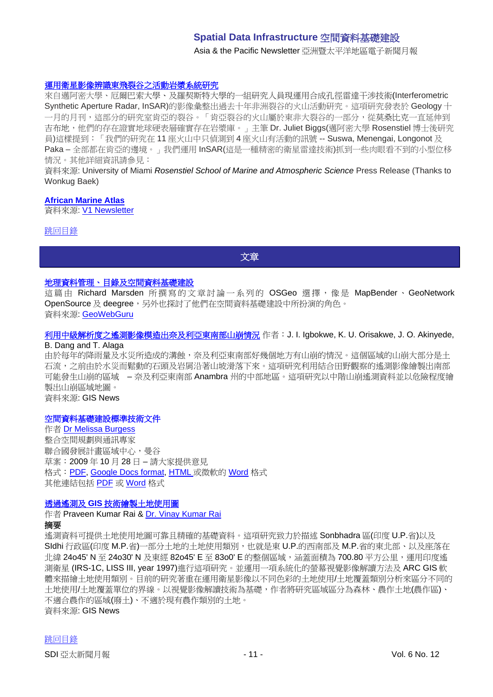Asia & the Pacific Newsletter 亞洲暨太平洋地區電子新聞月報

#### [運用衛星影像辨識東飛裂谷之活動岩漿系統研究](http://www.rsmas.miami.edu/pressreleases/20091104-biggs.html)

來自邁阿密大學、厄爾巴索大學、及羅契斯特大學的一組研究人員現運用合成孔徑雷達干涉技術(Interferometric Synthetic Aperture Radar, InSAR)的影像彙整出過去十年非洲裂谷的火山活動研究。這項研究發表於 Geology 十 一月的月刊,這部分的研究室肯亞的裂谷。「肯亞裂谷的火山屬於東非大裂谷的一部分,從莫桑比克一直延伸到 吉布地,他們的存在證實地球硬表層確實存在岩漿庫。」主筆 Dr. Juliet Biggs(邁阿密大學 Rosenstiel 博士後研究 員)這樣提到:「我們的研究在 11 座火山中只偵測到 4 座火山有活動的訊號 -- Suswa, Menengai, Longonot 及 Paka – 全部都在肯亞的邊境。」我們運用 InSAR(這是一種精密的衛星雷達技術)抓到一些肉眼看不到的小型位移 情況。其他詳細資訊請參見:

資料來源: University of Miami *Rosenstiel School of Marine and Atmospheric Science* Press Release (Thanks to Wonkug Baek)

#### **[African Marine Atlas](http://iodeweb2.vliz.be/omap/OMAP/index.htm)**

資料來源: [V1 Newsletter](http://www.vector1media.com/resources/newsletter/9917-v1-newsletter-vol-3-issue-44)

#### <span id="page-10-0"></span>[跳回目錄](#page-0-0)

文章

#### [地理資料管理、目錄及空間資料基礎建設](http://www.geowebguru.com/articles/227-geospatial-data-management-catalogs-and-spatial-data-infrastructures)

這篇由 Richard Marsden 所撰寫的文章討論一系列的 OSGeo 選擇,像是 MapBender、 GeoNetwork OpenSource 及 deegree,另外也探討了他們在空間資料基礎建設中所扮演的角色。 資料來源: [GeoWebGuru](http://www.geowebguru.com/home)

#### [利用中級解析度之遙測影像模造出奈及利亞東南部山崩情況](http://www.gisdevelopment.net/application/natural_hazards/landslides/Modelling_landslide.htm) 作者:J. I. Igbokwe, K. U. Orisakwe, J. O. Akinyede, B. Dang and T. Alaga

由於每年的降雨量及水災所造成的溝蝕,奈及利亞東南部好幾個地方有山崩的情況。這個區域的山崩大部分是土 石流,之前由於水災而鬆動的石頭及岩屑沿著山坡滑落下來。這項研究利用結合田野觀察的遙測影像繪製出南部 可能發生山崩的區域 – 奈及利亞東南部 Anambra 州的中部地區。這項研究以中階山崩遙測資料並以危險程度繪 製出山崩區域地圖。

資料來源: GIS News

#### 空間資料基礎建設標準技術文件

作者 [Dr Melissa Burgess](mailto:Melissa.Burgess@undp.org) 整合空間規劃與通訊專家 聯合國發展計畫區域中心,曼谷 草案:2009 年 10 月 28 日 – 請大家提供意見 格式:[PDF,](http://docs.google.com/gview?a=v&pid=gmail&attid=0.2&thid=124b531af4f866c2&mt=application%2Fpdf&url=http%3A%2F%2Fmail.google.com%2Fmail%2F%3Fui%3D2%26ik%3Dbf32a9097f%26view%3Datt%26th%3D124b531af4f866c2%26attid%3D0.2%26disp%3Dattd%26zw&sig=AHBy-hbCnUdylpN8) [Google Docs format,](http://docs.google.com/Doc?id=dfr87trr_10dpz3g8dg&btr=EmailImport) [HTML](http://mail.google.com/mail/?ui=2&ik=bf32a9097f&view=att&th=124b531af4f866c2&attid=0.1&disp=vah&zw) 或微軟的 [Word](http://mail.google.com/mail/?view=att&th=124b531af4f866c2&attid=0.1&disp=attd&zw) 格式 其他連結包括 [PDF](http://lists.gsdi.org/pipermail/sdi-asiapacific/attachments/20091030/adf30f61/attachment.pdf) 或 [Word](http://lists.gsdi.org/pipermail/sdi-asiapacific/attachments/20091030/adf30f61/attachment.doc) 格式

#### 透過遙測及 **GIS** [技術繪製土地使用圖](http://www.gisdevelopment.net/technology/rs/tech_lulc.htm)

#### 作者 Praveen Kumar Rai & [Dr. Vinay Kumar Rai](mailto:rai.vns82@gmail.com) 摘要

遙測資料可提供土地使用地圖可靠且精確的基礎資料。這項研究致力於描述 Sonbhadra 區(印度 U.P.省)以及 SIdhi 行政區(印度 M.P.省)一部分土地的土地使用類別,也就是東 U.P.的西南部及 M.P.省的東北部、以及座落在 北緯 24o45' N 至 24o30' N 及東經 82o45' E 至 83o0' E 的整個區域,適蓋面積為 700.80 平方公里,運用印度遙 測衛星 (IRS-1C, LISS III, year 1997)進行這項研究。並運用一項系統化的螢幕視覺影像解讀方法及 ARC GIS 軟 體來描繪土地使用類別。目前的研究著重在運用衛星影像以不同色彩的土地使用/土地覆蓋類別分析來區分不同的 土地使用/土地覆蓋單位的界線。以視覺影像解讀技術為基礎,作者將研究區域區分為森林、農作土地(農作區)、 不適合農作的區域(廢土)、不適於現有農作類別的土地。 資料來源: GIS News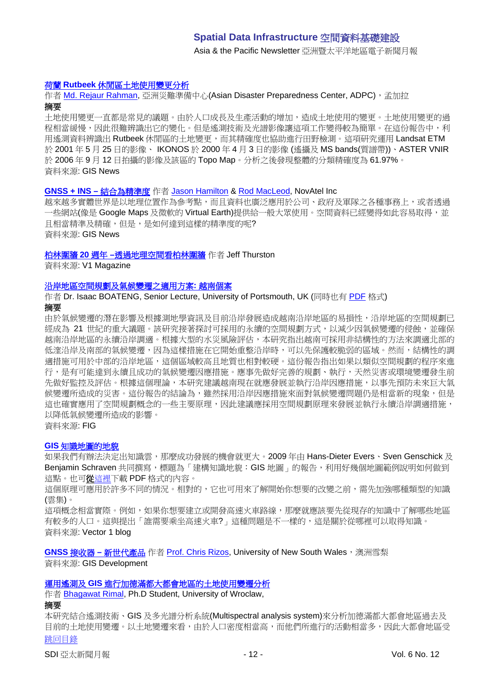Asia & the Pacific Newsletter 亞洲暨太平洋地區電子新聞月報

#### 荷蘭 **Rutbeek** [休閒區土地使用變更分析](http://www.gisdevelopment.net/application/lis/rural/landuse_Netherlands.htm)

作者 [Md. Rejaur Rahman,](mailto:reja.83@gmail.com) 亞洲災難準備中心(Asian Disaster Preparedness Center, ADPC), 孟加拉 摘要

土地使用變更一直都是常見的議題。由於人口成長及生產活動的增加,造成土地使用的變更。土地使用變更的過 程相當緩慢,因此很難辨識出它的變化。但是遙測技術及光譜影像讓這項工作變得較為簡單。在這份報告中,利 用遙測資料辨識出 Rutbeek 休閒區的土地變更,而其精確度也協助進行田野檢測。這項研究運用 Landsat ETM 於 2001 年 5 月 25 日的影像、 IKONOS 於 2000 年 4 月 3 日的影像 (遙攝及 MS bands(質譜帶))、ASTER VNIR 於 2006 年 9 月 12 日拍攝的影像及該區的 Topo Map。分析之後發現整體的分類精確度為 61.97%。 資料來源: GIS News

#### **[GNSS + INS –](http://www.gisdevelopment.net/magazine/global/2009/November/26.htm)** 結合為精準度 作者 [Jason Hamilton](mailto:Jason.Hamilton@novatel.com) & [Rod MacLeod,](mailto:Rod.MacLeod@novatel.com) NovAtel Inc

越來越多實體世界是以地理位置作為參考點,而且資料也廣泛應用於公司、政府及軍隊之各種事務上,或者透過 一些網站(像是 Google Maps 及微軟的 Virtual Earth)提供給一般大眾使用。空間資料已經變得如此容易取得,並 日相當精準及精確,但是,是如何達到這樣的精準度的呢? 資料來源: GIS News

#### 柏林圍牆 **20** 週年 **–**[透過地理空間看柏林圍牆](http://vector1media.com/dialogue/perspectives/9897-the-berlin-wall-20-years-through-geospatial-eyes) 作者 Jeff Thurston

資料來源: V1 Magazine

#### [沿岸地區空間規劃及氣候變遷之適用方案](http://www.fig.net/pub/monthly_articles/october_2009/october_2009_boateng.html)**:** 越南個案

作者 Dr. Isaac BOATENG, Senior Lecture, University of Portsmouth, UK (同時也有 [PDF](http://www.fig.net/pub/monthly_articles/october_2009/october_2009_boateng.pdf) 格式) 摘要

由於氣候變遷的潛在影響及根據測地學資訊及目前沿岸發展造成越南沿岸地區的易損性,沿岸地區的空間規劃已 經成為 21 世紀的重大議題。該研究接著探討可採用的永續的空間規劃方式,以減少因氣候變遷的侵蝕,並確保 越南沿岸地區的永續沿岸調適。根據大型的水災風險評估,本研究指出越南可採用非結構性的方法來調適北部的 低漥沿岸及南部的氣候變遷,因為這樣措施在它開始重整沿岸時,可以先保護較脆弱的區域。然而,結構性的調 適措施可用於中部的沿岸地區,這個區域較高且地質也相對較硬。這份報告指出如果以類似空間規劃的程序來進 行,是有可能達到永續且成功的氣候變遷因應措施。應事先做好完善的規劃、執行,天然災害或環境變遷發生前 先做好監控及評估。根據這個理論,本研究建議越南現在就應發展並執行沿岸因應措施,以事先預防未來巨大氣 候變遷所造成的災害。這份報告的結論為,雖然採用沿岸因應措施來面對氣候變遷問題仍是相當新的現象,但是 這也確實應用了空間規劃概念的一些主要原理,因此建議應採用空間規劃原理來發展並執行永續沿岸調適措施, 以降低氣候變遷所造成的影響。 資料來源: FIG

#### **GIS** [知識地圖的地貌](http://www.vector1media.com/vectorone/?p=4032)

如果我們有辦法決定出知識雲,那麼成功發展的機會就更大。2009 年由 Hans-Dieter Evers、Sven Genschick 及 Benjamin Schraven 共同撰寫,標題為「建構知識地貌: GIS 地圖」的報告,利用好幾個地圖範例說明如何做到 這點。也[可從這裡下](http://mpra.ub.uni-muenchen.de/17135/1/MPRA_paper_17135.pdf)載 PDF 格式的內容。

這個原理可應用於許多不同的情況。相對的,它也可用來了解開始你想要的改變之前,需先加強哪種類型的知識 (雲集)。

這項概念相當實際。例如,如果你想要建立或開發高速火車路線,那麼就應該要先從現存的知識中了解哪些地區 有較多的人口。這與提出「誰需要乘坐高速火車?」這種問題是不一樣的,這是關於從哪裡可以取得知識。 資料來源: Vector 1 blog

**GNSS 接收器 – [新世代產品](http://www.gisdevelopment.net/magazine/global/2009/November/20.htm) 作者 [Prof. Chris Rizos,](mailto:c.rizos@unsw.edu.au) University of New South Wales, 澳洲雪梨** 資料來源: GIS Development

# 運用遙測及 **GIS** [進行加德滿都大都會地區的土地使用變遷分析](http://www.gisdevelopment.net/application/lis/urban/urban_Kthmnd_Bhagawat.htm)

作者 [Bhagawat Rimal,](mailto:geonp_2001@yahoo.com) Ph.D Student, University of Wroclaw,

摘要

[跳回目錄](#page-0-0) 本研究結合遙測技術、GIS 及多光譜分析系統(Multispectral analysis system)來分析加德滿都大都會地區過去及 目前的土地使用變遷。以土地變遷來看,由於人口密度相當高,而他們所進行的活動相當多,因此大都會地區受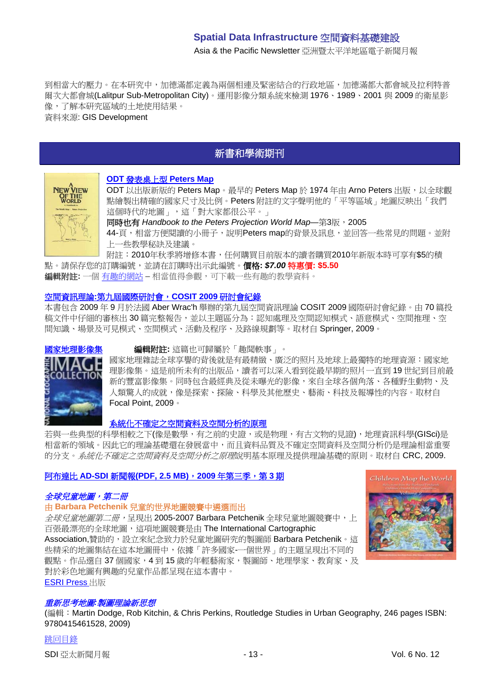Asia & the Pacific Newsletter 亞洲暨太平洋地區電子新聞月報

到相當大的壓力。在本研究中,加德滿都定義為兩個相連及緊密結合的行政地區,加德滿都大都會城及拉利特普 爾次大都會城(Lalitpur Sub-Metropolitan City)。運用影像分類系統來檢測 1976、1989、2001 與 2009 的衛星影 像,了解本研究區域的土地使用結果。

<span id="page-12-0"></span>資料來源: GIS Development

# 新書和學術期刊

# **NEW VIEW OF THE<br>WORLD**

## **ODT** [發表桌上型](http://www.odtmaps.com/peters-equal-area-maps.46.0.0.1.htm) **Peters Map**

ODT 以出版新版的 Peters Map。最早的 Peters Map 於 1974 年由 Arno Peters 出版,以全球觀 點繪製出精確的國家尺寸及比例。Peters 附註的文字聲明他的「平等區域」地圖反映出「我們 這個時代的地圖」,這「對大家都很公平。」

同時也有 Handbook to the Peters Projection World Map–第3版, 2005 44-頁,相當方便閱讀的小冊子,說明Peters map的背景及訊息,並回答一些常見的問題。並附 上一些教學秘訣及建議。

附註:2010年秋季將增修本書,任何購買目前版本的讀者購買2010年新版本時可享有\$5的積

點。請保存您的訂購編號,並請在訂購時出示此編號。價格**:** *\$7.00* 特惠價**: \$5.50** 編輯附註**:** 一個 [有趣的網站](http://www.odtmaps.com/) – 相當值得參觀,可下載一些有趣的教學資料。

# 空間資訊理論**:**[第九屆國際研討會,](http://www.amazon.com/exec/obidos/ASIN/364203831X/directionsm00-20)**COSIT 2009** 研討會紀錄

本書包含 2009 年 9 月於法國 Aber Wrac'h 舉辦的第九屆空間資訊理論 COSIT 2009 國際研討會紀錄。由 70 篇投 稿文件中仔細的審核出 30 篇完整報告,並以主題區分為:認知處理及空間認知模式、語意模式、空間推理、空 間知識、場景及可見模式、空間模式、活動及程序、及路線規劃等。取材自 Springer, 2009。



#### **[國家地理影像集](http://www.amazon.com/exec/obidos/ASIN/1426205031/directionsm00-20) 編輯附註:** 這篇也可歸屬於「趣聞軼事」。

國家地理雜誌全球享譽的背後就是有最精緻、廣泛的照片及地球上最獨特的地理資源:國家地 理影像集。這是前所未有的出版品,讀者可以深入看到從最早期的照片一直到 19 世紀到目前最 新的豐富影像集。同時包含最經典及從未曝光的影像,來自全球各個角落、各種野生動物、及 人類驚人的成就,像是探索、探險、科學及其他歷史、藝術、科技及報導性的內容。取材自 Focal Point, 2009。

#### [系統化不確定之空間資料及空間分析的原理](http://www.amazon.com/exec/obidos/ASIN/1420059270/directionsm00-20)

若與一些典型的科學相較之下(像是數學,有之前的史證,或是物理,有古文物的見證),地理資訊科學(GISci)是 相當新的領域。因此它的理論基礎還在發展當中,而且資料品質及不確定空間資料及空間分析仍是理論相當重要 的分支。*系統化不確定之空間資料及空間分析之原理*說明基本原理及提供理論基礎的原則。取材自 CRC, 2009.

## 阿布達比 **AD-SDI** 新聞報**[\(PDF, 2.5 MB\)](http://sdi.abudhabi.ae/Sites/SDI/Content/EN/PDF/ad-sdi-newsletter,property=pdf.pdf)**,**2009** 年第三季,第 **3** 期

## 全球兒童地圖,第二冊

#### 由 **Barbara Petchenik** 兒童的世界地圖競賽中遴選而出

全球兒童地圖第二冊,呈現出 2005-2007 Barbara Petchenik 全球兒童地圖競賽中,上 百張最漂亮的全球地圖,這項地圖競賽是由 The International Cartographic Association,贊助的,設立來紀念致力於兒童地圖研究的製圖師 Barbara Petchenik。這 些精采的地圖集結在這本地圖冊中,依據「許多國家-一個世界」的主題呈現出不同的 觀點。作品選自 37個國家,4到 15 歲的年輕藝術家,製圖師、地理學家、教育家、及 對於彩色地圖有興趣的兒童作品都呈現在這本書中。 [ESRI Press](http://esripress.esri.com/display/index.cfm?fuseaction=display&websiteID=163&moduleID=0) 出版



#### 重新思考地圖*:*製圖理論新思想

(編輯:Martin Dodge, Rob Kitchin, & Chris Perkins, [Routledge Studies in Urban Geography,](http://www.routledge.com/books/Rethinking-Maps-isbn9780415461528) 246 pages ISBN: 9780415461528, 2009)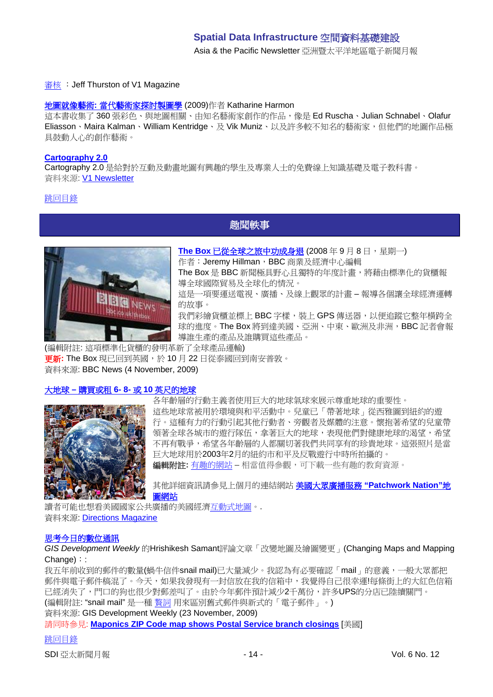Asia & the Pacific Newsletter 亞洲暨太平洋地區電子新聞月報

#### [審核](http://vector1media.com/articles/reviews/9802-rethinking-maps) :Jeff Thurston of V1 Magazine

#### 地圖就像藝術**:** [當代藝術家探討製圖學](http://www.amazon.com/gp/product/1568987625?ie=UTF8&tag=vectmedi-20&linkCode=xm2&creativeASIN=1568987625) (2009)作者 Katharine Harmon

這本書收集了 360 張彩色、與地圖相關、由知名藝術家創作的作品,像是 Ed Ruscha、Julian Schnabel、Olafur Eliasson、Maira Kalman、William Kentridge、及 Vik Muniz、以及許多較不知名的藝術家,但他們的地圖作品極 具鼓動人心的創作藝術。

#### **[Cartography 2.0](http://cartography2.org/)**

Cartography 2.0 是給對於互動及動畫地圖有興趣的學生及專業人士的免費線上知識基礎及電子教科書。 資料來源: [V1 Newsletter](http://www.vector1media.com/resources/newsletter/9804-v1-newsletter-vol-3-issue-43)

### <span id="page-13-0"></span>[跳回目錄](#page-0-0)

# 趣聞軼事



**The Box** [已從全球之旅中功成身退](http://news.bbc.co.uk/2/hi/in_depth/business/2008/the_box/default.stm) (2008年9月8日,星期一) 作者: Jeremy Hillman, BBC 商業及經濟中心編輯 The Box 是 BBC 新聞極具野心且獨特的年度計畫,將藉由標準化的貨櫃報

導全球國際貿易及全球化的情況。 這是一項要運送電視、廣播、及線上觀眾的計畫 – 報導各個讓全球經濟運轉

的故事。

我們彩繪貨櫃並標上 BBC 字樣,裝上 GPS 傳送器,以便追蹤它整年橫跨全 球的進度。The Box 將到達美國、亞洲、中東、歐洲及非洲, BBC 記者會報 導誰生產的產品及誰購買這些產品。

(編輯附註: 這項標準化貨櫃的發明革新了全球產品運輸) 更新**:** The Box 現已回到英國,於 10 月 22 日從泰國回到南安普敦。 資料來源: BBC News (4 November, 2009)

## 大地球 **–** 購買或租 **6- 8-** 或 **10** [英尺的地球](http://www.odtmaps.com/detail.asp_Q_product_id_E_Globe-giant)



各年齡層的行動主義者使用巨大的地球氣球來展示尊重地球的重要性。 這些地球常被用於環境與和平活動中。兒童已「帶著地球」從西雅圖到紐約的遊 行。這種有力的行動引起其他行動者、旁觀者及媒體的注意。懷抱著希望的兒童帶 領著全球各城市的遊行隊伍,拿著巨大的地球,表現他們對健康地球的渴望,希望 不再有戰爭,希望各年齡層的人都關切著我們共同享有的珍貴地球。這張照片是當 巨大地球用於2003年2月的紐約市和平及反戰遊行中時所拍攝的。 編輯附註: 有趣的<u>網站</u> – 相當值得參觀, 可下載一些有趣的教育資源。

其他詳細資訊請參見上個月的連結網站 [美國大眾廣播服務](http://www.pbs.org/newshour/patchworknation/) **"Patchwork Nation"**地 [圖網站](http://www.pbs.org/newshour/patchworknation/)

讀者可能也想看美國國家公共廣播[的美國經濟互動式地圖。](http://www.npr.org/templates/story/story.php?storyId=111494514). 資料來源: [Directions Magazine](http://www.directionsmedia.net/newsletters.archive/index.php?ID=1522)

## [思考今日的數位通訊](http://www.gisdevelopment.net/ezine/weekly/nov2309.htm)

*GIS Development Weekly* 的Hrishikesh Samant評論文章「改變地圖及繪圖變更」(Changing Maps and Mapping Change):

我五年前收到的郵件的數量(蝸牛信件snail mail)已大量減少。我認為有必要確認「mail」的意義,一般大眾都把 郵件與電子郵件稿混了。今天,如果我發現有一封信放在我的信箱中,我覺得自己很幸運!每條街上的大紅色信箱 已經消失了,門口的狗也很少對郵差叫了。由於今年郵件預計減少2千萬份,許多UPS的分店已陸續關門。 (編輯附註: "snail mail" 是一種 [贅詞](http://en.wikipedia.org/wiki/Retronym) 用來區別舊式郵件與新式的「電子郵件」。)

資料來源: GIS Development Weekly (23 November, 2009)

請同時參見: **[Maponics ZIP Code map shows Postal Service branch closings](http://www.gisdevelopment.net/news/viewn.asp?id=GIS:N_mpcobqutej&Ezine=nov2309§ion=News)** [美國]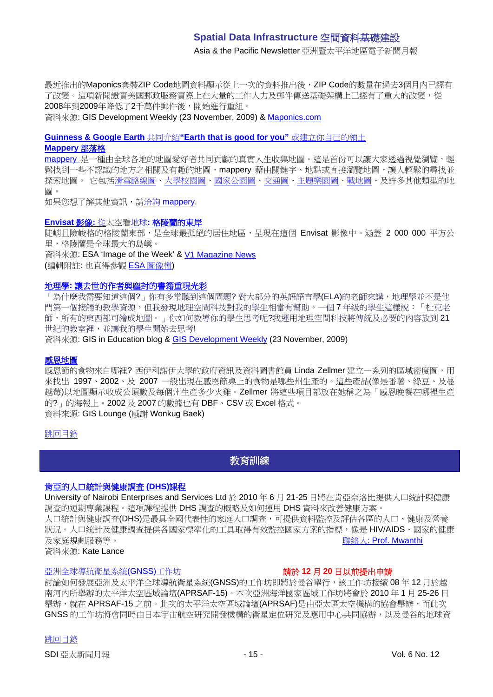Asia & the Pacific Newsletter 亞洲暨太平洋地區電子新聞月報

最近推出的Maponics套裝ZIP Code地圖資料顯示從上一次的資料推出後,ZIP Code的數量在過去3個月內已經有 了改變。這項新聞證實美國郵政服務實際上在大量的工作人力及郵件傳送基礎架構上已經有了重大的改變,從 2008年到2009年降低了2千萬件郵件後,開始進行重組。

資料來源: GIS Development Weekly (23 November, 2009) & [Maponics.com](http://www.maponics.com/About_Maponics/MaponicsNews/ZIP_Data_Captures_USPS_Changes/zip_data_captures_usps_changes.html)

**[Guinness & Google Earth](http://www.campaignlive.co.uk/channel/FoodDrink/article/950455/guinness-introduces-new-line-brings-world-life-latest-ad/)** 共同介紹**"Earth that is good for you"** 或建立你自己的領土 **[Mappery](http://mappery.wordpress.com/)** 部落格

[mappery](http://mappery.com/) 是一種由全球各地的地圖愛好者共同貢獻的真實人生收集地圖。這是首份可以讓大家透過視覺瀏覽,輕 鬆找到一些不認識的地方之相關及有趣的地圖,mappery 藉由關鍵字、地點或直接瀏覽地圖,讓人輕鬆的尋找並 探索地圖。 它包[括滑雪路線圖](http://www.mappery.com/tagsmap.php?tag=ski%20area)[、大學校園圖](http://www.mappery.com/searchmap.php?locLat=&locLong=&kw=college&location=)[、國家公園圖、](http://www.mappery.com/tagsmap.php?tag=national%20park)[交通圖、](http://www.mappery.com/tagsmap.php?tag=transportation)[主題樂園圖](http://www.mappery.com/tagsmap.php?tag=theme%20park)[、戰地圖、](http://www.mappery.com/searchmap.php?locLat=&locLong=&kw=battlefield&location=)及許多其他類型的地 圖。

如果您想了解其他資訊,請洽詢 [mappery.](mailto:info@mappery.com)

#### **Envisat** 影像**:** 從太空看地球**:** [格陵蘭的東岸](http://www.esa.int/esaEO/SEMEYWAOE1G_index_0.html)

陡峭且險峻格的格陵蘭東部,是全球最孤絕的居住地區,呈現在這個 Envisat 影像中。涵蓋 2 000 000 平方公 里,格陵蘭是全球最大的島嶼。

資料來源: ESA 'Image of the Week' & [V1 Magazine News](http://www.vector1media.com/news/headlines/9791-greenland-worlds-largest-island)

(編輯附註: 也直得參觀 ESA [圖像檔](http://www.esa.int/esaEO/SEM9UELY17E_index_0.html))

#### 地理學**:** [讓去世的作者與塵封的書籍重現光彩](http://gisined.blogspot.com/2009/11/geography-where-dead-authors-and-dusty.html)

「為什麼我需要知道這個?」你有多常聽到這個問題?對大部分的英語語言學(ELA)的老師來講,地理學並不是他 門第一個接觸的教學資源,但我發現地理空間科技對我的學生相當有幫助。一個 7 年級的學生這樣說:「杜克老 師,所有的東西都可繪成地圖。」你如何教導你的學生思考呢?我運用地理空間科技將傳統及必要的內容放到 21 世紀的教室裡,並讓我的學生開始去思考!

資料來源: GIS in Education blog & [GIS Development Weekly](http://www.gisdevelopment.net/ezine/weekly/nov2309.htm) (23 November, 2009)

#### [感恩地圖](http://faculty.wiu.edu/LR-Zellmer/thanksgiving.html)

感恩節的食物來自哪裡?西伊利諾伊大學的政府資訊及資料圖書館員 Linda Zellmer 建立一系列的區域密度圖,用 來找出 1997、2002、及 2007 一般出現在感恩節桌上的食物是哪些州生產的。這些產品(像是番薯、綠豆、及蔓 越莓)以地圖顯示收成公頃數及每個州生產多少火雞。Zellmer 將這些項目都放在她稱之為「感恩晚餐在哪裡生產 的?」的海報上。2002 及 2007 的數據也有 DBF、CSV 或 Excel 格式。 資料來源: GIS Lounge (感謝 Wonkug Baek)

#### <span id="page-14-0"></span>[跳回目錄](#page-0-0)

教育訓練

#### [肯亞的人口統計與健康調查](http://www.measuredhs.com/wn1/reports/Demographic%20health%20surveys_final%20flyer.pdf) **(DHS)**課程

University of Nairobi Enterprises and Services Ltd 於 2010 年 6 月 21-25 日將在肯亞奈洛比提供人口統計與健康 調查的短期專業課程。這項課程提供 DHS 調查的概略及如何運用 DHS 資料來改善健康方案。

人口統計與健康調查(DHS)是最具全國代表性的家庭人口調查,可提供資料監控及評估各區的人口、健康及營養 狀況。人口統計及健康調查提供各國家標準化的工具取得有效監控國家方案的指標,像是 HIV/AIDS、國家的健康 及家庭規劃服務等。 カランド インファイル アクション おおところ おおところ おおところ おおところ (Solar Magnetic Music)

資料來源: Kate Lance

#### [亞洲全球導航衛星系統](http://www.asmmag.com/news/workshop-for-asian-gnss)(GNSS)工作坊 請於 **12** 月 **20** 日以前提出申請

討論如何發展亞洲及太平洋全球導航衛星系統(GNSS)的工作坊即將於曼谷舉行,該工作坊接續 08年12月於越 南河內所舉辦的太平洋太空區域論壇(APRSAF-15)。本次亞洲海洋國家區域工作坊將會於 2010 年 1 月 25-26 日 舉辦,就在 APRSAF-15 之前。此次的太平洋太空區域論壇(APRSAF)是由亞太區太空機構的協會舉辦,而此次 GNSS 的工作坊將會同時由日本宇宙航空研究開發機構的衛星定位研究及應用中心共同協辦,以及曼谷的地球資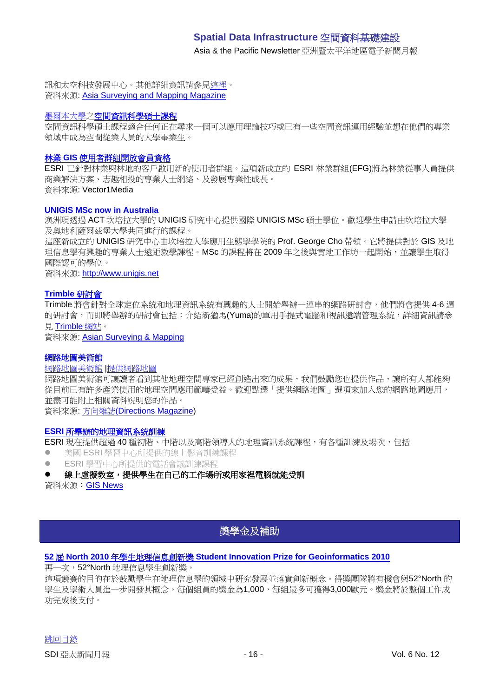Asia & the Pacific Newsletter 亞洲暨太平洋地區電子新聞月報

訊和太空科技發展中心。其他詳細資訊請參[見這裡。](http://www.multignss.asia/pdf/Invitation_Letter_Multi-GNSS_Workshop(WEB).pdf) 資料來源: [Asia Surveying and Mapping Magazine](http://au.mg2.mail.yahoo.com/dc/launch?.gx=1&.rand=18q4rthesepum)

# [墨爾本大學之](http://www.unimelb.edu.au/)[空間資訊科學碩士課程](http://www.eng.unimelb.edu.au/Postgrad/MEng/grad_msis.html)

空間資訊科學碩士課程適合任何正在尋求一個可以應用理論技巧或已有一些空間資訊運用經驗並想在他們的專業 領域中成為空間從業人員的大學畢業生。

#### 林業 **GIS** [使用者群組開放會員資格](http://www.vector1media.com/news/top-stories/53-corporate-news/8187-forestry-gis-user-group-opens-for-membership)

ESRI 已針對林業與林地的客戶啟用新的使用者群組。這項新成立的 ESRI 林業群組(EFG)將為林業從事人員提供 商業解決方案、志趣相投的專業人士網絡、及發展專業性成長。 資料來源: Vector1Media

#### **UNIGIS MSc now in Australia**

澳洲現透過 ACT 坎培拉大學的 UNIGIS 研究中心提供國際 UNIGIS MSc 碩士學位。歡迎學生申請由坎培拉大學 及奧地利薩爾茲堡大學共同進行的課程。

這座新成立的 UNIGIS 研究中心由坎培拉大學應用生態學學院的 Prof. George Cho 帶領。它將提供對於 GIS 及地 理信息學有興趣的專業人士遠距教學課程。MSc 的課程將在 2009 年之後與實地工作坊一起開始,並讓學生取得 國際認可的學位。

資料來源: [http://www.unigis.net](http://www.unigis.net/)

## **[Trimble](http://www.trimble.com/mgis/webinars.shtml)** 研討會

Trimble 將會針對全球定位系統和地理資訊系統有興趣的人士開始舉辦一連串的網路研討會,他們將會提供 4-6 週 的研討會,而即將舉辦的研討會包括: 介紹新猶馬(Yuma)的軍用手提式電腦和視訊遠端管理系統,詳細資訊請參 見 [Trimble](http://www.trimble.com/mgis/webinars.shtml) 網站。

資料來源: [Asian Surveying & Mapping](http://www.asmmag.com/news)

#### 網路地圖美術館

## [網路地圖美術館](http://www.directionsmag.com/webmapgallery/) |[提供網路地圖](http://www.directionsmag.com/webmapgallery/?duty=Contribute)

網路地圖美術館可讓讀者看到其他地理空間專家已經創造出來的成果,我們鼓勵您也提供作品,讓所有人都能夠 從目前已有許多產業使用的地理空間應用範疇受益。歡迎點選「提供網路地圖」選項來加入您的網路地圖應用, 並盡可能附上相關資料說明您的作品。

資料來源: 方向雜誌[\(Directions Magazine\)](http://www.directionsmedia.net/newsletters.archive/index.php?ID=1507)

#### **ESRI** [所舉辦的地理資訊系統訓練](http://training.esri.com/gateway/index.cfm?fa=trainingOptions.gateway)

ESRI 現在提供超過 40 種初階、中階以及高階領導人的地理資訊系統課程,有各種訓練及場次,包括

- 美國 ESRI 學習中心所提供的線上影音訓練課程
- ESRI 學習中心所提供的電話會議訓練課程

#### 線上虛擬教室,提供學生在自己的工作場所或用家裡電腦就能受訓

資料來源:GIS News

# 獎學金及補助

## <span id="page-15-0"></span>**52** 屆 **North 2010** 年學生地理信息創新獎 **[Student Innovation Prize for Geoinformatics 2010](http://52north.org/index.php?option=com_content&view=article&id=324:52n-ip-2010&catid=35:news-lnews-mila&Itemid=252)**

再一次,52°North 地理信息學生創新獎。

這項競賽的目的在於鼓勵學生在地理信息學的領域中研究發展並落實創新概念。得獎團隊將有機會與52°North 的 學生及學術人員進一步開發其概念。每個組員的獎金為1,000,每組最多可獲得3,000歐元。獎金將於整個工作成 功完成後支付。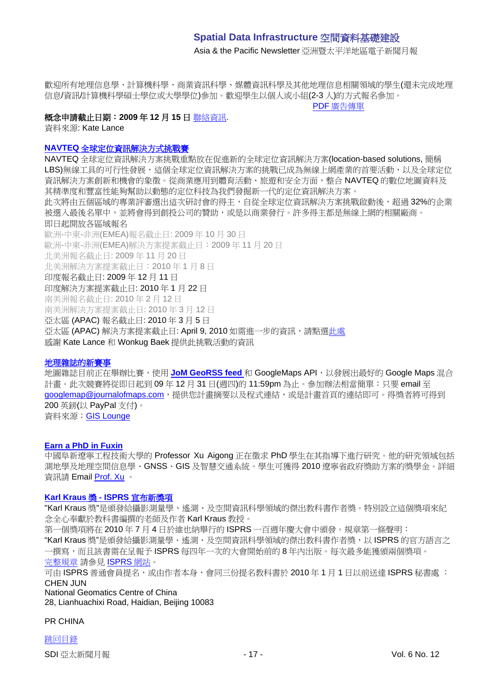Asia & the Pacific Newsletter 亞洲暨太平洋地區電子新聞月報

歡迎所有地理信息學、計算機科學、商業資訊科學、媒體資訊科學及其他地理信息相關領域的學生(還未完成地理 信息/資訊/計算機科學碩士學位或大學學位)參加。歡迎學生以個人或小組(2-3 人)的方式報名參加。

PDF [廣告傳單](http://52north.org/images/stories/52n/admin/docs/IP2010/52n_prize_call_for_entries_2010.pdf)

# 概念申請截止日期:**2009** 年 **12** 月 **15** 日 [聯絡資訊](mailto:52nprize@52north.org).

資料來源: Kate Lance

#### **NAVTEQ** [全球定位資訊解決方式挑戰賽](http://developer.navteq.com/site/global/market/lbs_challenge/p_lbs_home.jsp)

NAVTEQ 全球定位資訊解決方案挑戰重點放在促進新的全球定位資訊解決方案(location-based solutions, 簡稱 LBS)無線工具的可行性發展,這個全球定位資訊解決方案的挑戰已成為無線上網產業的首要活動,以及全球定位 資訊解決方案創新和機會的象徵。從商業應用到體育活動、旅遊和安全方面,整合 NAVTEQ 的數位地圖資料及 其精準度和豐富性能夠幫助以動態的定位科技為我們發掘新一代的定位資訊解決方案。 此次將由五個區域的專業評審選出這次研討會的得主,自從全球定位資訊解決方案挑戰啟動後,超過 32%的企業 被選入最後名單中,並將會得到創投公司的贊助,或是以商業發行。許多得主都是無線上網的相關廠商。 即日起開放各區域報名 歐洲-中東-非洲(EMEA)報名截止日: 2009 年 10 月 30 日 歐洲-中東-非洲(EMEA)解決方案提案截止日:2009 年 11 月 20 日 北美洲報名截止日: 2009 年 11 月 20 日 北美洲解決方案提案截止日:2010 年 1 月 8 日 印度報名截止日: 2009 年 12 月 11 日 印度解決方案提案截止日: 2010 年 1 月 22 日 南美洲報名截止日: 2010 年 2 月 12 日 南美洲解決方案提案截止日: 2010 年 3 月 12 日 亞太區 (APAC) 報名截止日: 2010 年 3 月 5 日 亞太區 (APAC) 解決方案提案截止日: April 9, 2010 如需進一步的資訊,請點[選此處](http://www.nn4d.com/site/global/market/lbs_challenge/p_lbs_home.jsp) 感謝 Kate Lance 和 Wonkug Baek 提供此挑戰活動的資訊

## 地理雜誌的新賽事

地圖雜誌目前正在舉辦比賽,使用 **[JoM GeoRSS feed](http://journalofmaps.com/about.php?helpfile=smartyRSS.xml)** 和 GoogleMaps API,以發展出最好的 Google Maps 混合 計畫。此次競賽將從即日起到 09年12月 31日(週四)的 11:59pm 為止。參加辦法相當簡單:只要 email 至 ooodlemap@journalofmaps.com,提供您計書摘要以及程式連結,或是計書首頁的連結即可。得獎者將可得到 200 英鎊(以 PayPal 支付)。 資料來源:[GIS Lounge](http://gislounge.com/journal-of-maps-google-maps-mashup-competition/)

#### **Earn a PhD in Fuxin**

中國阜新遼寧工程技術大學的 Professor Xu Aigong 正在徵求 PhD 學生在其指導下進行研究。他的研究領域包括 測地學及地理空間信息學、GNSS、GIS 及智慧交通系統。學生可獲得 2010 遼寧省政府獎助方案的獎學金。詳細 資訊請 Email [Prof. Xu](mailto:%22xu_ag@126.com%22) 。

# **Karl Kraus** 獎 **- ISPRS** 宣布新獎項

"Karl Kraus 獎"是頒發給攝影測量學、遙測、及空間資訊科學領域的傑出教科書作者獎。特別設立這個獎項來紀 念全心奉獻於教科書編撰的老師及作者 Karl Kraus 教授。

第一個獎項將在 2010 年 7 月 4 日於維也納舉行的 ISPRS 一百週年慶大會中頒發。規章第一條聲明:

"Karl Kraus 獎"是頒發給攝影測量學、遙測、及空間資訊科學領域的傑出教科書作者獎,以 ISPRS 的官方語言之 一撰寫,而且該書需在呈報予 ISPRS 每四年一次的大會開始前的 8 年內出版。每次最多能獲頒兩個獎項。

[完整規章](http://www.isprs.org/documents/awards.aspx) 請參見 [ISPRS](http://www.isprs.org/) 網站。

可由 ISPRS 普通會員提名,或由作者本身,會同三份提名教科書於 2010 年 1 月 1 日以前送達 ISPRS 秘書處 : CHEN JUN

National Geomatics Centre of China 28, Lianhuachixi Road, Haidian, Beijing 10083

#### PR CHINA

[跳回目錄](#page-0-0) SDI 亞太新聞月報 - 17 - 17 - 17 - 17 - 19 - 10 - 12 - 19 - 10 - 12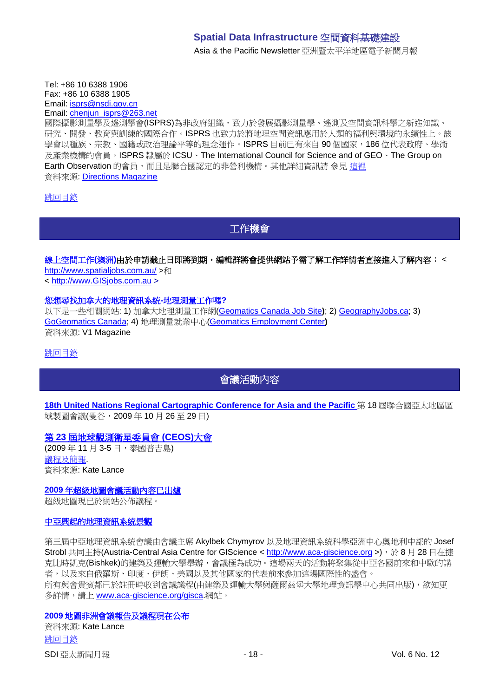Asia & the Pacific Newsletter 亞洲暨太平洋地區電子新聞月報

Tel: +86 10 6388 1906 Fax: +86 10 6388 1905 Email: [isprs@nsdi.gov.cn](mailto:isprs@nsdi.gov.cn) Email: [chenjun\\_isprs@263.net](mailto:chenjun_isprs@263.net)

國際攝影測量學及遙測學會(ISPRS)為非政府組織,致力於發展攝影測量學、遙測及空間資訊科學之新進知識、 研究、開發、教育與訓練的國際合作。ISPRS 也致力於將地理空間資訊應用於人類的福利與環境的永續性上。該 學會以種族、宗教、國籍或政治理論平等的理念運作。ISPRS 目前已有來自 90 個國家, 186 位代表政府、學術 及產業機構的會員。ISPRS 隸屬於 ICSU、The International Council for Science and of GEO、The Group on Earth Observation 的會員,而且是聯合國認定的非營利機構。其他詳細資訊請 參見 [這裡](http://www.isprs.org/) 資料來源: [Directions Magazine](http://www.directionsmag.com/press.releases/?duty=Show&id=39338)

<span id="page-17-0"></span>[跳回目錄](#page-0-0)

工作機會

# 線上空間工作(澳洲)由於申請截止日即將到期,編輯群將會提供網站予需了解工作詳情者直接進入了解內容: <

<http://www.spatialjobs.com.au/> >和

< [http://www.GISjobs.com.au](http://www.gisjobs.com.au/) >

#### 您想尋找加拿大的地理資訊系統**-**地理測量工作嗎**?**

以下是一些相關網站: 1) 加拿大地理測量工作網[\(Geomatics Canada Job Site](http://geomaticscanada.com/jobs.cfm)**)**; 2) [GeographyJobs.ca;](http://www.geographyjobs.ca/) 3) [GoGeomatics Canada;](http://canada.gogeomatics.net/frmHome.aspx) 4) 地理測量就業中心[\(Geomatics Employment Center](http://gisjobs.ca/)**)** 資料來源: V1 Magazine

<span id="page-17-1"></span>[跳回目錄](#page-0-0)

# 會議活動內容

**[18th United Nations Regional Cartographic Conference for Asia and the Pacific](http://unstats.un.org/unsd/methods/cartog/Asia_and_Pacific/18/18th-UNRCC-AP-Docs.htm)** 第 18 屆聯合國亞太地區區 域製圖會議(曼谷,2009 年 10 月 26 至 29 日)

# 第 **23** [屆地球觀測衛星委員會](http://conference.gistda.or.th/ceos2009/) **(CEOS)**大會

(2009 年 11 月 3-5 日,泰國普吉島) [議程及簡報](http://www.symbioscomms.com/ceos2009/ceos23agenda.html). 資料來源: Kate Lance

**2009** [年超級地圖會議活動內容已出爐](http://www.supermap.com/events/SGC2009/index.asp)

超級地圖現已於網站公佈議程。

#### [中亞興起的地理資訊系統景觀](http://vector1media.com/events/event-coverage/8841-emerging-gis-landscapes-in-central-asia)

第三屆中亞地理資訊系統會議由會議主席 Akylbek Chymyrov 以及地理資訊系統科學亞洲中心奧地利中部的 Josef Strobl 共同主持(Austria-Central Asia Centre for GIScience < [http://www.aca-giscience.org](http://www.aca-giscience.org/) >),於 8 月 28 日在捷 克比時凱克(Bishkek)的建築及運輸大學舉辦,會議極為成功。這場兩天的活動將聚集從中亞各國前來和中歐的講 者,以及來自俄羅斯、印度、伊朗、美國以及其他國家的代表前來參加這場國際性的盛會。 所有與會貴賓都已於註冊時收到會議議程(由建築及運輸大學與薩爾茲堡大學地理資訊學中心共同出版),欲知更 多詳情,請上 [www.aca-giscience.org/gisca.](http://www.aca-giscience.org/gisca)網站。

## **2009** 地圖非[洲會議報告](http://www.gisdevelopment.net/magazine/global/2009/October/50.htm)[及議程現](http://mapafrica.gisdevelopment.net/2009/proceeding/index.htm)在公布

[跳回目錄](#page-0-0) SDI 亞太新聞月報 - 18 - Vol. 6 No. 12 資料來源: Kate Lance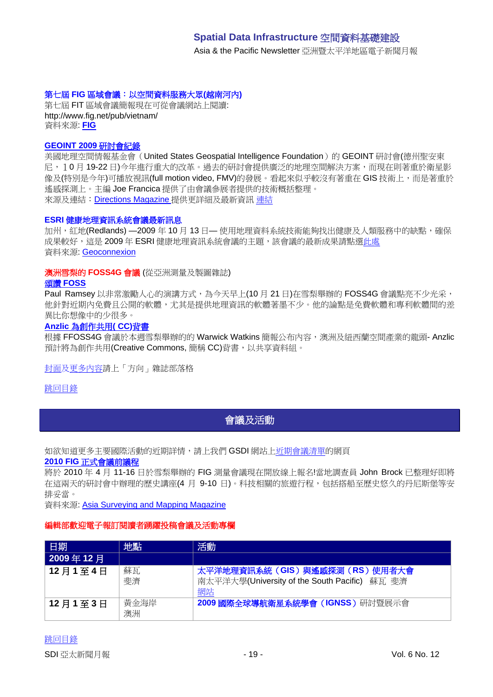Asia & the Pacific Newsletter 亞洲暨太平洋地區電子新聞月報

# 第七屆 **FIG** 區域會議:以空間資料服務大眾**(**越南河內**)**

第七屆 FIT 區域會議簡報現在可從會議網站上閱讀: http://www.fig.net/pub/vietnam/ 資料來源: **[FIG](http://www.fig.net/pub/vietnam/)**

## **GEOINT 2009** 研討會紀錄

美國地理空間情報基金會(United States Geospatial Intelligence Foundation)的 GEOINT 研討會(德州聖安東 尼,10 月 19-22 日)今年進行重大的改革。過去的研討會提供廣泛的地理空間解決方案,而現在則著重於衛星影 像及(特別是今年)可播放視訊(full motion video. FMV)的發展。看起來似乎較沒有著重在 GIS 技術上,而是著重於 遙感探測上。主編 Joe Francica 提供了由會議參展者提供的技術概括整理。 來源及連結:[Directions Magazine](http://www.directionsmedia.net/newsletters.archive/index.php?ID=1516) 提供更詳細及最新資訊 [連結](http://www.directionsmag.com/article.php?article_id=3319)

#### **ESRI** 健康地理資訊系統會議最新訊息

加州,紅地(Redlands) - 2009 年 10 月 13 日 - 使用地理資料系統技術能夠找出健康及人類服務中的缺點,確保 成果較好,這是 2009年 ESRI 健康地理資訊系統會議的主題,該會議的最新成果請點選此處 資料來源: [Geoconnexion](http://www.geoconnexion.com/geo_news_article/ESRI-Health-GIS-Conference-Update/6769)

#### 澳洲雪梨的 **FOSS4G** 會議 (從亞洲測量及製圖雜誌)

#### 頌讚 **[FOSS](http://www.asmmag.com/news/in-praise-of-foss)**

Paul Ramsey 以非常激勵人心的演講方式,為今天早上(10月21日)在雪梨舉辦的 FOSS4G 會議點亮不少光采, 他針對近期內免費且公開的軟體,尤其是提供地理資訊的軟體著墨不少。他的論點是免費軟體和專利軟體間的差 異比你想像中的少很多。

#### **Anzlic** [為創作共用](http://www.asmmag.com/news/anzlic-to-endorse-cc)**( CC)**背書

根據 FFOSS4G 會議於本週雪梨舉辦的的 Warwick Watkins 簡報公布內容,澳洲及紐西蘭空間產業的龍頭- Anzlic 預計將為創作共用(Creative Commons, 簡稱 CC)背書,以共享資料組。

[封面及](http://apb.directionsmag.com/archives/6687-FOSS4G-Coverage-II.html)[更多內容請](http://www.directionsmag.com/article.php?article_id=3314)上「方向」雜誌部落格

<span id="page-18-0"></span>[跳回目錄](#page-0-0)

# 會議及活動

如欲知道更多主要國際活動的近期詳情,請上我們 GSDI 網站[上近期會議清單的](http://gsdi.org/events/upcnf.asp)網頁

#### **2010 FIG** [正式會議前議程](http://www.asmmag.com/news/fig-2010-pre-congress-program)

將於 2010 年 4 月 11-16 日於雪梨舉辦的 FIG 測量會議現在開放線上報名!當地調查員 John Brock 已整理好即將 在這兩天的研討會中辦理的歷史講座(4 月 9-10 日)。科技相關的旅遊行程,包括搭船至歷史悠久的丹尼斯堡等安 排妥當。

資料來源: [Asia Surveying and Mapping Magazine](http://www.asmmag.com/news/fig-2010-pre-congress-program)

#### 編輯部歡迎電子報訂閱讀者踴躍投稿會議及活動專欄

| 日期       | 地點   | 活動                                            |
|----------|------|-----------------------------------------------|
| 2009年12月 |      |                                               |
| 12月1至4日  | 蘇瓦   | 太平洋地理資訊系統 (GIS) 與遙感探測 (RS) 使用者大會              |
|          | 斐濟   | 南太平洋大學(University of the South Pacific) 蘇瓦 斐濟 |
|          |      | 網站                                            |
| 12月1至3日  | 黃金海岸 | 2009 國際全球導航衛星系統學會 (IGNSS) 研討暨展示會              |
|          | 澳洲   |                                               |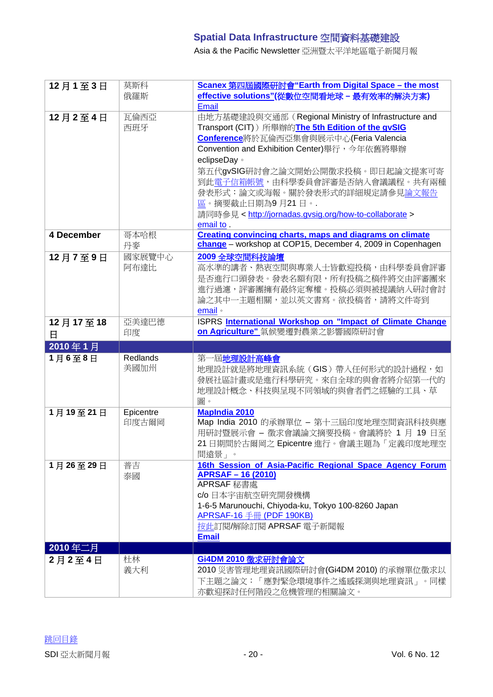Asia & the Pacific Newsletter 亞洲暨太平洋地區電子新聞月報

| 12月1至3日    | 莫斯科        | Scanex 第四屆國際研討會"Earth from Digital Space - the most                                                                           |
|------------|------------|-------------------------------------------------------------------------------------------------------------------------------|
|            | 俄羅斯        | effective solutions"(從數位空間看地球 - 最有效率的解決方案)<br>Email                                                                           |
| 12月2至4日    | 瓦倫西亞       | 由地方基礎建設與交通部 (Regional Ministry of Infrastructure and                                                                          |
|            | 西班牙        | Transport (CIT)) 所舉辦的The 5th Edition of the gvSIG                                                                             |
|            |            | Conference將於瓦倫西亞集會與展示中心(Feria Valencia                                                                                        |
|            |            | Convention and Exhibition Center)舉行,今年依舊將舉辦                                                                                   |
|            |            | eclipseDay o                                                                                                                  |
|            |            | 第五代gvSIG研討會之論文開始公開徵求投稿。即日起論文提案可寄                                                                                              |
|            |            | 到此電子信箱帳號,由科學委員會評審是否納入會議議程。共有兩種                                                                                                |
|            |            | 發表形式:論文或海報。關於發表形式的詳細規定請參見論文報告                                                                                                 |
|            |            | 區。摘要截止日期為9月21日。.                                                                                                              |
|            |            | 請同時參見 < http://jornadas.gvsig.org/how-to-collaborate >                                                                        |
|            |            | email to.                                                                                                                     |
| 4 December | 哥本哈根<br>丹麥 | <b>Creating convincing charts, maps and diagrams on climate</b><br>change - workshop at COP15, December 4, 2009 in Copenhagen |
| 12月7至9日    | 國家展覽中心     | 2009 全球空間科技論壇                                                                                                                 |
|            | 阿布達比       | 高水準的講者、熱衷空間與專業人士皆歡迎投稿,由科學委員會評審                                                                                                |
|            |            | 是否進行口頭發表。發表名額有限,所有投稿之稿件將交由評審團來                                                                                                |
|            |            | 進行過濾,評審團擁有最終定奪權。投稿必須與被提議納入研討會討                                                                                                |
|            |            | 論之其中一主題相關,並以英文書寫。欲投稿者,請將文件寄到                                                                                                  |
|            | 亞美達巴德      | email •<br>ISPRS International Workshop on "Impact of Climate Change                                                          |
| 12月17至18   | 印度         | on Agriculture" 氣候變遷對農業之影響國際研討會                                                                                               |
| 日          |            |                                                                                                                               |
|            |            |                                                                                                                               |
| 2010年1月    |            |                                                                                                                               |
| 1月6至8日     | Redlands   | 第一屆地理設計高峰會                                                                                                                    |
|            | 美國加州       | 地理設計就是將地理資訊系統(GIS)帶入任何形式的設計過程,如                                                                                               |
|            |            | 發展社區計畫或是進行科學研究。來自全球的與會者將介紹第一代的                                                                                                |
|            |            | 地理設計概念、科技與呈現不同領域的與會者們之經驗的工具、草<br>圖。                                                                                           |
| 1月19至21日   | Epicentre  | <b>MapIndia 2010</b>                                                                                                          |
|            | 印度古爾岡      | Map India 2010 的承辦單位 - 第十三屆印度地理空間資訊科技與應                                                                                       |
|            |            | 用研討暨展示會 - 徵求會議論文摘要投稿。會議將於 1 月 19 日至                                                                                           |
|            |            | 21日期間於古爾岡之 Epicentre 進行。會議主題為「定義印度地理空                                                                                         |
|            |            | 間遠景」。                                                                                                                         |
| 1月26至29日   | 普吉         | 16th Session of Asia-Pacific Regional Space Agency Forum                                                                      |
|            | 泰國         | <b>APRSAF-16 (2010)</b>                                                                                                       |
|            |            | APRSAF 秘書處<br>c/o 日本宇宙航空研究開發機構                                                                                                |
|            |            | 1-6-5 Marunouchi, Chiyoda-ku, Tokyo 100-8260 Japan                                                                            |
|            |            | APRSAF-16 手冊 (PDF 190KB)                                                                                                      |
|            |            | 按此訂閱/解除訂閱 APRSAF 電子新聞報                                                                                                        |
|            |            | <b>Email</b>                                                                                                                  |
| 2010年二月    |            |                                                                                                                               |
| 2月2至4日     | 杜林         | Gi4DM 2010 微求研討會論文                                                                                                            |
|            | 義大利        | 2010 災害管理地理資訊國際研討會(Gi4DM 2010) 的承辦單位徵求以<br>下主題之論文:「應對緊急環境事件之遙感探測與地理資訊」。同樣                                                     |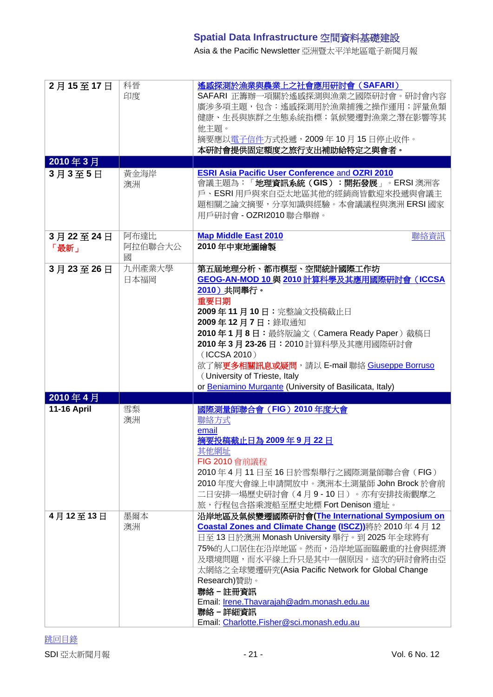Asia & the Pacific Newsletter 亞洲暨太平洋地區電子新聞月報

| 2月15至17日           | 科晉<br>印度             | 遙感探測於漁業與農業上之社會應用研討會 (SAFARI)<br>SAFARI 正籌辦一項關於遙感探測與漁業之國際研討會。研討會內容<br>廣涉多項主題,包含:遙感探測用於漁業捕獲之操作運用;評量魚類<br>健康、生長與族群之生態系統指標;氣候變遷對漁業之潛在影響等其<br>他主題。<br>摘要應以電子信件方式投遞,2009年10月15日停止收件。<br>本研討會提供固定額度之旅行支出補助給特定之與會者。                                                                                                                                                                                                        |
|--------------------|----------------------|--------------------------------------------------------------------------------------------------------------------------------------------------------------------------------------------------------------------------------------------------------------------------------------------------------------------------------------------------------------------------------------------------------------------|
| 2010年3月            |                      |                                                                                                                                                                                                                                                                                                                                                                                                                    |
| 3月3至5日             | 黃金海岸<br>澳洲           | <b>ESRI Asia Pacific User Conference and OZRI 2010</b><br>會議主題為:「地理資訊系統(GIS):開拓發展」。ERSI澳洲客<br>戶、ESRI用戶與來自亞太地區其他的經銷商皆歡迎來投遞與會議主<br>題相關之論文摘要,分享知識與經驗。本會議議程與澳洲 ERSI 國家<br>用戶研討會 - OZRI2010 聯合舉辦。                                                                                                                                                                                                                       |
| 3月22至24日<br>「最新」   | 阿布達比<br>阿拉伯聯合大公<br>國 | <b>Map Middle East 2010</b><br>聯絡資訊<br>2010年中東地圖繪製                                                                                                                                                                                                                                                                                                                                                                 |
| 3月23至26日           | 九州產業大學<br>日本福岡       | 第五屆地理分析、都市模型、空間統計國際工作坊<br><b>GEOG-AN-MOD 10 與 2010 計算科學及其應用國際研討會 (ICCSA</b><br>2010) 共同舉行。<br>重要日期<br>2009年11月10日:完整論文投稿截止日<br>2009年12月7日:錄取通知<br>2010年1月8日: 最終版論文 (Camera Ready Paper)截稿日<br>2010年3月23-26日: 2010 計算科學及其應用國際研討會<br>(ICCSA 2010)<br>欲了解更多相關訊息或疑問,請以 E-mail 聯絡 Giuseppe Borruso<br>(University of Trieste, Italy<br>or Beniamino Murgante (University of Basilicata, Italy)                          |
| 2010年4月            |                      |                                                                                                                                                                                                                                                                                                                                                                                                                    |
| <b>11-16 April</b> | 雪梨<br>澳洲             | 國際測量師聯合會 (FIG) 2010年度大會<br>聯絡方式<br>email<br>摘要投稿截止日為 2009年9月22日<br>其他網址<br>FIG 2010 會前議程<br>2010年4月11日至16日於雪梨舉行之國際測量師聯合會(FIG)<br>2010年度大會線上申請開放中。澳洲本土測量師 John Brock 於會前<br>二日安排一場歷史研討會(4月9-10日)。亦有安排技術觀摩之<br>旅, 行程包含搭乘渡船至歷史地標 Fort Denison 遺址。                                                                                                                                                                     |
| 4月12至13日           | 墨爾本<br>澳洲            | 沿岸地區及氣候變遷國際研討會(The International Symposium on<br>Coastal Zones and Climate Change (ISCZ))將於 2010年4月12<br>日至 13 日於澳洲 Monash University 舉行。到 2025年全球將有<br>75%的人口居住在沿岸地區。然而,沿岸地區面臨嚴重的社會與經濟<br>及環境問題,而水平線上升只是其中一個原因。這次的研討會將由亞<br>太網絡之全球變遷研究(Asia Pacific Network for Global Change<br>Research)贊助。<br>聯絡-註冊資訊<br>Email: Irene. Thavarajah@adm. monash.edu.au<br>聯絡 - 詳細資訊<br>Email: Charlotte.Fisher@sci.monash.edu.au |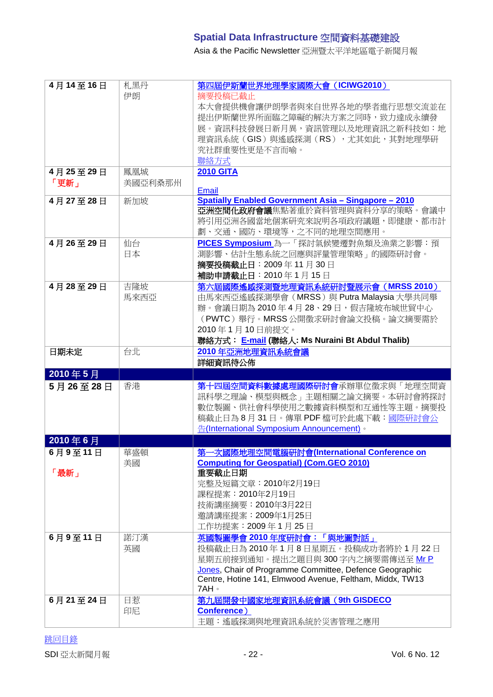Asia & the Pacific Newsletter 亞洲暨太平洋地區電子新聞月報

| 4月14至16日            | 札黑丹<br>伊朗       | 第四屆伊斯蘭世界地理學家國際大會 (ICIWG2010)<br>摘要投稿已截止<br>本大會提供機會讓伊朗學者與來自世界各地的學者進行思想交流並在<br>提出伊斯蘭世界所面臨之障礙的解決方案之同時,致力達成永續發<br>展。資訊科技發展日新月異,資訊管理以及地理資訊之新科技如:地<br>理資訊系統 (GIS) 與遙感探測 (RS) ,尤其如此,其對地理學研<br>究社群重要性更是不言而喻。<br>聯絡方式                                                       |
|---------------------|-----------------|--------------------------------------------------------------------------------------------------------------------------------------------------------------------------------------------------------------------------------------------------------------------|
| 4月25至29日<br>「更新」    | 鳳凰城<br>美國亞利桑那州  | <b>2010 GITA</b><br>Email                                                                                                                                                                                                                                          |
| 4月27至28日            | 新加坡             | <b>Spatially Enabled Government Asia - Singapore - 2010</b><br><b>亞洲空間化政府會議</b> 焦點著重於資料管理與資料分享的策略。會議中<br>將引用亞洲各國當地個案研究來說明各項政府議題,即健康、都市計<br>劃、交通、國防、環境等,之不同的地理空間應用。                                                                                                 |
| 4月26至29日            | 仙台<br>日本        | PICES Symposium 為一「探討氣候變遷對魚類及漁業之影響:預<br>測影響、估計生態系統之回應與評量管理策略」的國際研討會。<br>摘要投稿截止日: 2009年11月30日<br>補助申請截止日: 2010年1月15日                                                                                                                                                |
| 4月28至29日            | 吉隆坡<br>馬來西亞     | 第六屆國際遙感探測暨地理資訊系統研討暨展示會 (MRSS 2010)<br>由馬來西亞遙感探測學會 (MRSS) 與 Putra Malaysia 大學共同舉<br>辦。會議日期為 2010年4月 28、29日,假吉隆坡布城世貿中心<br>(PWTC) 舉行。MRSS 公開徵求研討會論文投稿。論文摘要需於<br>2010年1月10日前提交。<br>聯絡方式: E-mail (聯絡人: Ms Nuraini Bt Abdul Thalib)                                      |
| 日期未定                | 台北              | 2010年亞洲地理資訊系統會議                                                                                                                                                                                                                                                    |
|                     |                 | 詳細資訊待公佈                                                                                                                                                                                                                                                            |
| 2010年5月             |                 |                                                                                                                                                                                                                                                                    |
| 5月26至28日            | 香港              | 第十四屆空間資料數據處理國際研討會承辦單位徵求與「地理空間資<br>訊科學之理論、模型與概念」主題相關之論文摘要。本研討會將探討<br>數位製圖、供社會科學使用之數據資料模型和互通性等主題。摘要投<br>稿截止日為 8月 31日。傳單 PDF 檔可於此處下載:國際研討會公<br>告(International Symposium Announcement)。                                                                               |
|                     |                 |                                                                                                                                                                                                                                                                    |
| 2010年6月             |                 |                                                                                                                                                                                                                                                                    |
| 6月9至11日<br>「最新」     | 華盛頓<br>美國       | 第一次國際地理空間電腦研討會(International Conference on<br><b>Computing for Geospatial) (Com.GEO 2010)</b><br>重要截止日期<br>完整及短篇文章: 2010年2月19日<br>課程提案: 2010年2月19日<br>技術講座摘要: 2010年3月22日<br>邀請講座提案: 2009年1月25日<br>工作坊提案: 2009年1月25日                                                |
| 6月9至11日<br>6月21至24日 | 諾汀漢<br>英國<br>日惹 | 英國製圖學會 2010年度研討會:「與地圖對話」<br>投稿截止日為2010年1月8日星期五。投稿成功者將於1月22日<br>星期五前接到通知。提出之題目與 300 字内之摘要需傳送至 Mr P<br>Jones, Chair of Programme Committee, Defence Geographic<br>Centre, Hotine 141, Elmwood Avenue, Feltham, Middx, TW13<br>7AH 。<br>第九屆開發中國家地理資訊系統會議 (9th GISDECO |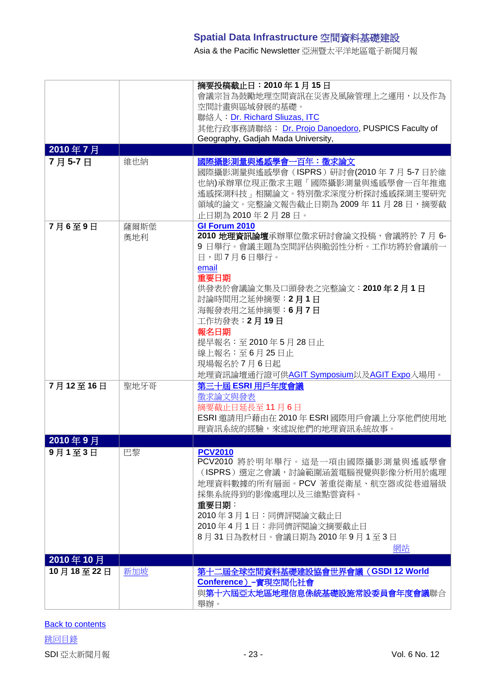Asia & the Pacific Newsletter 亞洲暨太平洋地區電子新聞月報

| 2010年7月<br>7月5-7日     | 維也納  | 摘要投稿截止日: 2010年1月15日<br>會議宗旨為鼓勵地理空間資訊在災害及風險管理上之運用,以及作為<br>空間計畫與區域發展的基礎。<br>聯絡人: Dr. Richard Sliuzas, ITC<br>其他行政事務請聯絡: Dr. Projo Danoedoro, PUSPICS Faculty of<br>Geography, Gadjah Mada University,<br>國際攝影測量與遙感學會一百年:徵求論文<br>國際攝影測量與遙感學會(ISPRS)研討會(2010年7月5-7日於維<br>也納)承辦單位現正徵求主題「國際攝影測量與遙感學會一百年推進    |
|-----------------------|------|--------------------------------------------------------------------------------------------------------------------------------------------------------------------------------------------------------------------------------------------------------------------------------------------------------|
| 7月6至9日                | 薩爾斯堡 | 遙感探測科技﹐相關論文。特別徵求深度分析探討遙感探測主要研究<br>領域的論文。完整論文報告截止日期為 2009 年 11 月 28 日,摘要截<br>止日期為 2010年2月28日。<br>GI Forum 2010                                                                                                                                                                                          |
|                       | 奧地利  | 2010 地理資訊論壇承辦單位徵求研討會論文投稿,會議將於 7 月 6-<br>9 日舉行。會議主題為空間評估與脆弱性分析。工作坊將於會議前一<br>日,即7月6日舉行。<br>email<br>重要日期<br>供發表於會議論文集及口頭發表之完整論文: 2010年2月1日<br>討論時間用之延伸摘要: 2月1日<br>海報發表用之延伸摘要:6月7日<br>工作坊發表:2月19日<br>報名日期<br>提早報名:至 2010年5月28日止<br>線上報名:至6月25日止<br>現場報名於7月6日起<br>地理資訊論壇通行證可供AGIT Symposium以及AGIT Expo入場用。 |
| 7月12至16日              | 聖地牙哥 | 第三十屆 ESRI 用戶年度會議<br>徵求論文與發表<br>摘要截止日延長至11月6日<br>ESRI 邀請用戶藉由在 2010年 ESRI 國際用戶會議上分享他們使用地<br>理資訊系統的經驗,來述說他們的地理資訊系統故事。                                                                                                                                                                                     |
| 2010年9月<br>9月1至3日     | 巴黎   | <b>PCV2010</b><br>PCV2010 將於明年舉行。這是一項由國際攝影測量與遙感學會                                                                                                                                                                                                                                                      |
|                       |      | (ISPRS)選定之會議, 討論範圍涵蓋電腦視覺與影像分析用於處理<br>地理資料數據的所有層面。PCV 著重從衛星、航空器或從巷道層級<br>採集系統得到的影像處理以及三維點雲資料。<br>重要日期:<br>2010年3月1日:同儕評閱論文截止日<br>2010年4月1日:非同儕評閱論文摘要截止日<br>8月31日為教材日。會議日期為2010年9月1至3日<br>網站                                                                                                             |
| 2010年10月<br>10月18至22日 | 新加坡  | 第十二屆全球空間資料基礎建設協會世界會議 (GSDI 12 World                                                                                                                                                                                                                                                                    |
|                       |      | Conference) -實現空間化社會<br>與第十六屆亞太地區地理信息係統基礎設施常設委員會年度會議聯合<br>舉辦。                                                                                                                                                                                                                                          |

[跳回目錄](#page-0-0) SDI 亞太新聞月報 - 23 - Vol. 6 No. 12 **[Back to contents](#page-0-0)**